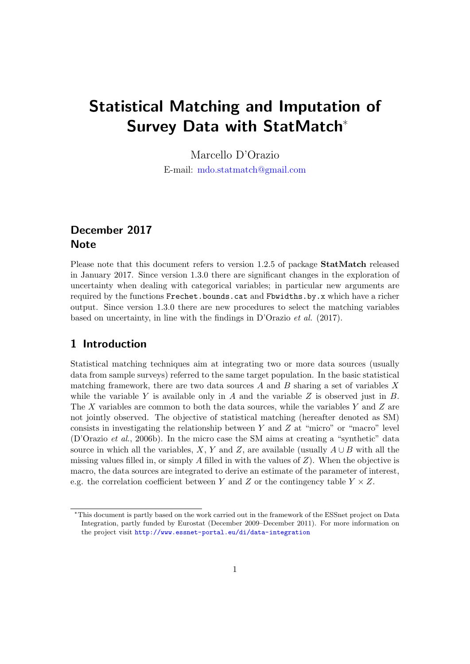# Statistical Matching and Imputation of Survey Data with StatMatch\*

Marcello D'Orazio E-mail: [mdo.statmatch@gmail.com](mailto:mdo.statmatch@gmail.com)

# December 2017 **Note**

Please note that this document refers to version 1.2.5 of package **StatMatch** released in January 2017. Since version 1.3.0 there are significant changes in the exploration of uncertainty when dealing with categorical variables; in particular new arguments are required by the functions Frechet.bounds.cat and Fbwidths.by.x which have a richer output. Since version 1.3.0 there are new procedures to select the matching variables based on uncertainty, in line with the findings in D'Orazio et al. (2017).

# 1 Introduction

Statistical matching techniques aim at integrating two or more data sources (usually data from sample surveys) referred to the same target population. In the basic statistical matching framework, there are two data sources  $A$  and  $B$  sharing a set of variables  $X$ while the variable  $Y$  is available only in  $A$  and the variable  $Z$  is observed just in  $B$ . The X variables are common to both the data sources, while the variables Y and Z are not jointly observed. The objective of statistical matching (hereafter denoted as SM) consists in investigating the relationship between  $Y$  and  $Z$  at "micro" or "macro" level (D'Orazio et al., 2006b). In the micro case the SM aims at creating a "synthetic" data source in which all the variables, X, Y and Z, are available (usually  $A \cup B$  with all the missing values filled in, or simply A filled in with the values of  $Z$ ). When the objective is macro, the data sources are integrated to derive an estimate of the parameter of interest, e.g. the correlation coefficient between Y and Z or the contingency table  $Y \times Z$ .

<sup>\*</sup>This document is partly based on the work carried out in the framework of the ESSnet project on Data Integration, partly funded by Eurostat (December 2009–December 2011). For more information on the project visit <http://www.essnet-portal.eu/di/data-integration>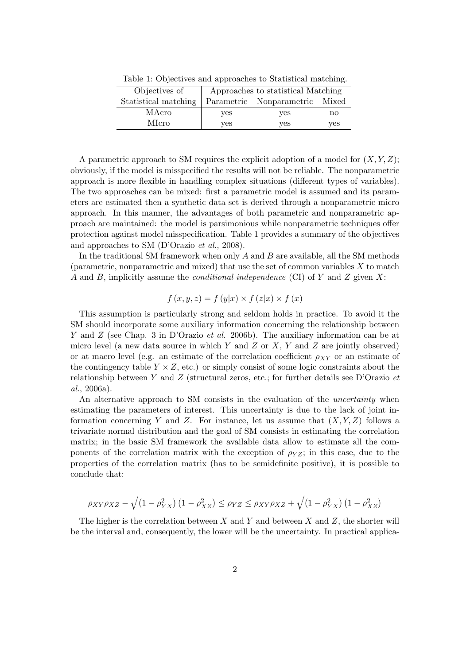| Objectives of        | Approaches to statistical Matching |                                |     |
|----------------------|------------------------------------|--------------------------------|-----|
| Statistical matching |                                    | Parametric Nonparametric Mixed |     |
| MAcro                | ves                                | yes                            | no  |
| MIcro                | yes                                | yes                            | yes |

Table 1: Objectives and approaches to Statistical matching.

A parametric approach to SM requires the explicit adoption of a model for  $(X, Y, Z)$ ; obviously, if the model is misspecified the results will not be reliable. The nonparametric approach is more flexible in handling complex situations (different types of variables). The two approaches can be mixed: first a parametric model is assumed and its parameters are estimated then a synthetic data set is derived through a nonparametric micro approach. In this manner, the advantages of both parametric and nonparametric approach are maintained: the model is parsimonious while nonparametric techniques offer protection against model misspecification. Table 1 provides a summary of the objectives and approaches to SM (D'Orazio et al., 2008).

In the traditional SM framework when only  $A$  and  $B$  are available, all the SM methods (parametric, nonparametric and mixed) that use the set of common variables  $X$  to match A and B, implicitly assume the *conditional independence* (CI) of Y and Z given X:

$$
f(x, y, z) = f(y|x) \times f(z|x) \times f(x)
$$

This assumption is particularly strong and seldom holds in practice. To avoid it the SM should incorporate some auxiliary information concerning the relationship between Y and Z (see Chap. 3 in D'Orazio et al. 2006b). The auxiliary information can be at micro level (a new data source in which  $Y$  and  $Z$  or  $X, Y$  and  $Z$  are jointly observed) or at macro level (e.g. an estimate of the correlation coefficient  $\rho_{XY}$  or an estimate of the contingency table  $Y \times Z$ , etc.) or simply consist of some logic constraints about the relationship between Y and Z (structural zeros, etc.; for further details see D'Orazio  $et$ al., 2006a).

An alternative approach to SM consists in the evaluation of the *uncertainty* when estimating the parameters of interest. This uncertainty is due to the lack of joint information concerning Y and Z. For instance, let us assume that  $(X, Y, Z)$  follows a trivariate normal distribution and the goal of SM consists in estimating the correlation matrix; in the basic SM framework the available data allow to estimate all the components of the correlation matrix with the exception of  $\rho_{YZ}$ ; in this case, due to the properties of the correlation matrix (has to be semidefinite positive), it is possible to conclude that:

$$
\rho_{XY}\rho_{XZ} - \sqrt{\left(1 - \rho_{YX}^2\right)\left(1 - \rho_{XZ}^2\right)} \le \rho_{YZ} \le \rho_{XY}\rho_{XZ} + \sqrt{\left(1 - \rho_{YX}^2\right)\left(1 - \rho_{XZ}^2\right)}
$$

The higher is the correlation between  $X$  and  $Y$  and between  $X$  and  $Z$ , the shorter will be the interval and, consequently, the lower will be the uncertainty. In practical applica-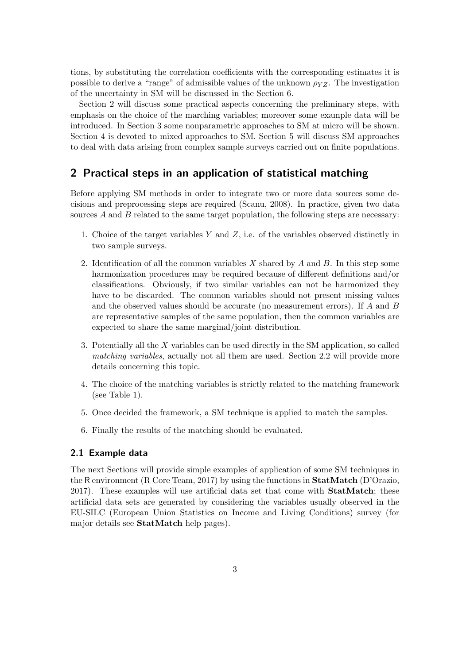tions, by substituting the correlation coefficients with the corresponding estimates it is possible to derive a "range" of admissible values of the unknown  $\rho_{YZ}$ . The investigation of the uncertainty in SM will be discussed in the Section 6.

Section 2 will discuss some practical aspects concerning the preliminary steps, with emphasis on the choice of the marching variables; moreover some example data will be introduced. In Section 3 some nonparametric approaches to SM at micro will be shown. Section 4 is devoted to mixed approaches to SM. Section 5 will discuss SM approaches to deal with data arising from complex sample surveys carried out on finite populations.

# 2 Practical steps in an application of statistical matching

Before applying SM methods in order to integrate two or more data sources some decisions and preprocessing steps are required (Scanu, 2008). In practice, given two data sources  $A$  and  $B$  related to the same target population, the following steps are necessary:

- 1. Choice of the target variables  $Y$  and  $Z$ , i.e. of the variables observed distinctly in two sample surveys.
- 2. Identification of all the common variables  $X$  shared by  $A$  and  $B$ . In this step some harmonization procedures may be required because of different definitions and/or classifications. Obviously, if two similar variables can not be harmonized they have to be discarded. The common variables should not present missing values and the observed values should be accurate (no measurement errors). If A and B are representative samples of the same population, then the common variables are expected to share the same marginal/joint distribution.
- 3. Potentially all the X variables can be used directly in the SM application, so called matching variables, actually not all them are used. Section 2.2 will provide more details concerning this topic.
- 4. The choice of the matching variables is strictly related to the matching framework (see Table 1).
- 5. Once decided the framework, a SM technique is applied to match the samples.
- 6. Finally the results of the matching should be evaluated.

#### 2.1 Example data

The next Sections will provide simple examples of application of some SM techniques in the R environment (R Core Team, 2017) by using the functions in StatMatch (D'Orazio, 2017). These examples will use artificial data set that come with StatMatch; these artificial data sets are generated by considering the variables usually observed in the EU-SILC (European Union Statistics on Income and Living Conditions) survey (for major details see StatMatch help pages).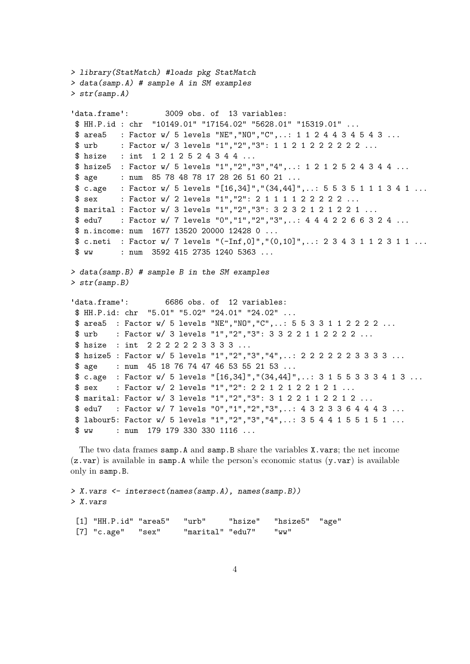```
> library(StatMatch) #loads pkg StatMatch
> data(samp.A) # sample A in SM examples
> str(samp.A)
'data.frame': 3009 obs. of 13 variables:
$ HH.P.id : chr "10149.01" "17154.02" "5628.01" "15319.01" ...
$ area5 : Factor w/ 5 levels "NE","NO","C",..: 1 1 2 4 4 3 4 5 4 3 ...
$ urb : Factor w/ 3 levels "1", "2", "3": 1 1 2 1 2 2 2 2 2 2 ...
$ hsize : int 1 2 1 2 5 2 4 3 4 4 ...
$ hsize5 : Factor w/ 5 levels "1","2","3","4",..: 1 2 1 2 5 2 4 3 4 4 ...
$ age : num 85 78 48 78 17 28 26 51 60 21 ...
$ c.age : Factor w/ 5 levels "[16,34]","(34,44]",..: 5 5 3 5 1 1 1 3 4 1 ...
$ sex : Factor w/ 2 levels "1", "2": 2 1 1 1 1 2 2 2 2 2 ...
$ marital : Factor w/ 3 levels "1","2","3": 3 2 3 2 1 2 1 2 2 1 ...
$ edu7 : Factor w/ 7 levels "0","1","2","3",..: 4 4 4 2 2 6 6 3 2 4 ...
$ n.income: num 1677 13520 20000 12428 0 ...
$ c.neti : Factor w/ 7 levels "(-Inf,0]","(0,10]",..: 2 3 4 3 1 1 2 3 1 1 ...
$ ww : num 3592 415 2735 1240 5363 ...
> data(samp.B) # sample B in the SM examples
> str(samp.B)
'data.frame': 6686 obs. of 12 variables:
$ HH.P.id: chr "5.01" "5.02" "24.01" "24.02" ...
$ area5 : Factor w/ 5 levels "NE","NO","C",..: 5 5 3 3 1 1 2 2 2 2 ...
$ urb : Factor w/ 3 levels "1", "2", "3": 3 3 2 2 1 1 2 2 2 2 ...
$ hsize : int 2 2 2 2 2 2 3 3 3 3 ...
$ hsize5 : Factor w/ 5 levels "1","2","3","4",..: 2 2 2 2 2 2 3 3 3 3 ...
$ age : num 45 18 76 74 47 46 53 55 21 53 ...
$ c.age : Factor w/ 5 levels "[16,34]","(34,44]",..: 3 1 5 5 3 3 3 4 1 3 ...
$ sex : Factor w/ 2 levels "1", "2": 2 2 1 2 1 2 2 1 2 1 ...
$ marital: Factor w/ 3 levels "1","2","3": 3 1 2 2 1 1 2 2 1 2 ...
$ edu7 : Factor w/ 7 levels "0","1","2","3",..: 4 3 2 3 3 6 4 4 4 3 ...
$ labour5: Factor w/ 5 levels "1","2","3","4",..: 3 5 4 4 1 5 5 1 5 1 ...
$ ww : num 179 179 330 330 1116 ...
```
The two data frames samp.A and samp.B share the variables X.vars; the net income  $(z.var)$  is available in samp. A while the person's economic status  $(y.var)$  is available only in samp.B.

> X.vars <- intersect(names(samp.A), names(samp.B)) > X.vars

| $[1]$ "HH.P.id" "area5" "urb" |                       | "hsize" "hsize5" "age" |  |
|-------------------------------|-----------------------|------------------------|--|
| $[7]$ "c.age" "sex"           | "marital" "edu7" "ww" |                        |  |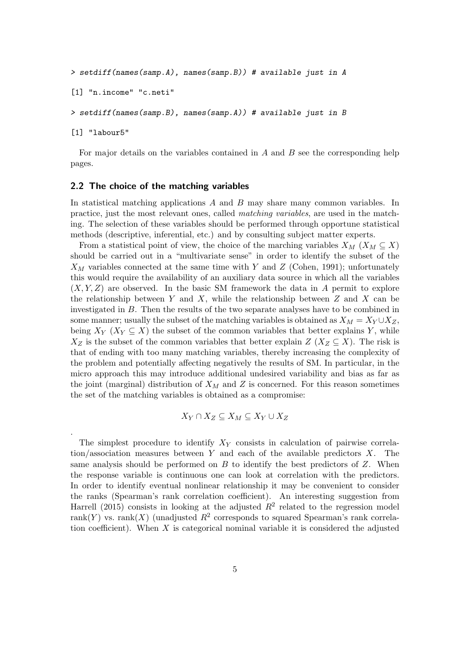```
> setdiff(names(samp.A), names(samp.B)) # available just in A
[1] "n.income" "c.neti"
> setdiff(names(samp.B), names(samp.A)) # available just in B
```
[1] "labour5"

.

For major details on the variables contained in  $A$  and  $B$  see the corresponding help pages.

#### 2.2 The choice of the matching variables

In statistical matching applications A and B may share many common variables. In practice, just the most relevant ones, called matching variables, are used in the matching. The selection of these variables should be performed through opportune statistical methods (descriptive, inferential, etc.) and by consulting subject matter experts.

From a statistical point of view, the choice of the marching variables  $X_M$  ( $X_M \subseteq X$ ) should be carried out in a "multivariate sense" in order to identify the subset of the  $X_M$  variables connected at the same time with Y and Z (Cohen, 1991); unfortunately this would require the availability of an auxiliary data source in which all the variables  $(X, Y, Z)$  are observed. In the basic SM framework the data in A permit to explore the relationship between Y and X, while the relationship between  $Z$  and  $X$  can be investigated in B. Then the results of the two separate analyses have to be combined in some manner; usually the subset of the matching variables is obtained as  $X_M = X_Y \cup X_Z$ , being  $X_Y$  ( $X_Y \subseteq X$ ) the subset of the common variables that better explains Y, while  $X_Z$  is the subset of the common variables that better explain  $Z(X_Z \subseteq X)$ . The risk is that of ending with too many matching variables, thereby increasing the complexity of the problem and potentially affecting negatively the results of SM. In particular, in the micro approach this may introduce additional undesired variability and bias as far as the joint (marginal) distribution of  $X_M$  and Z is concerned. For this reason sometimes the set of the matching variables is obtained as a compromise:

$$
X_Y \cap X_Z \subseteq X_M \subseteq X_Y \cup X_Z
$$

The simplest procedure to identify  $X<sub>Y</sub>$  consists in calculation of pairwise correlation/association measures between Y and each of the available predictors  $X$ . The same analysis should be performed on  $B$  to identify the best predictors of  $Z$ . When the response variable is continuous one can look at correlation with the predictors. In order to identify eventual nonlinear relationship it may be convenient to consider the ranks (Spearman's rank correlation coefficient). An interesting suggestion from Harrell (2015) consists in looking at the adjusted  $R^2$  related to the regression model rank $(Y)$  vs. rank $(X)$  (unadjusted  $\mathbb{R}^2$  corresponds to squared Spearman's rank correlation coefficient). When  $X$  is categorical nominal variable it is considered the adjusted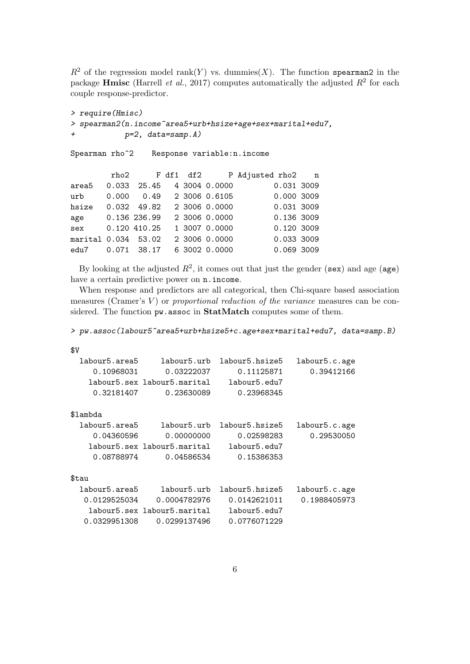$R^2$  of the regression model rank(Y) vs. dummies(X). The function spearman2 in the package **Hmisc** (Harrell *et al.*, 2017) computes automatically the adjusted  $R^2$  for each couple response-predictor.

```
> require(Hmisc)
> spearman2(n.income~area5+urb+hsize+age+sex+marital+edu7,
+ p=2, data=samp.A)
Spearman rho<sup>2</sup> Response variable:n.income
       rho2 F df1 df2 P Adjusted rho2 n
area5  0.033  25.45  4  3004  0.0000  0.031  3009
urb 0.000 0.49 2 3006 0.6105 0.000 3009
hsize 0.032 49.82 2 3006 0.0000 0.031 3009
age 0.136 236.99 2 3006 0.0000 0.136 3009
sex   0.120 410.25  1 3007 0.0000  0.120 3009
marital 0.034 53.02 2 3006 0.0000 0.033 3009
edu7  0.071  38.17  6  3002  0.0000  0.069  3009
```
By looking at the adjusted  $R^2$ , it comes out that just the gender (sex) and age (age) have a certain predictive power on n.income.

When response and predictors are all categorical, then Chi-square based association measures (Cramer's  $V$ ) or proportional reduction of the variance measures can be considered. The function pw.assoc in StatMatch computes some of them.

> pw.assoc(labour5~area5+urb+hsize5+c.age+sex+marital+edu7, data=samp.B)

\$V

| labour5.area5 | labour5.urb                 | labour5.hsize5 | labour5.c.age |
|---------------|-----------------------------|----------------|---------------|
| 0.10968031    | 0.03222037                  | 0.11125871     | 0.39412166    |
|               | labour5.sex labour5.marital | labour5.edu7   |               |
| 0.32181407    | 0.23630089                  | 0.23968345     |               |
|               |                             |                |               |
| \$lambda      |                             |                |               |
| labour5.area5 | labour5.urb                 | labour5.hsize5 | labour5.c.age |
| 0.04360596    | 0.00000000                  | 0.02598283     | 0.29530050    |
|               | labour5.sex labour5.marital | labour5.edu7   |               |
| 0.08788974    | 0.04586534                  | 0.15386353     |               |
| \$tau         |                             |                |               |
|               |                             |                |               |
| labour5.area5 | labour5.urb                 | labour5.hsize5 | labour5.c.age |
| 0.0129525034  | 0.0004782976                | 0.0142621011   | 0.1988405973  |
|               | labour5.sex labour5.marital | labour5.edu7   |               |
| 0.0329951308  | 0.0299137496                | 0.0776071229   |               |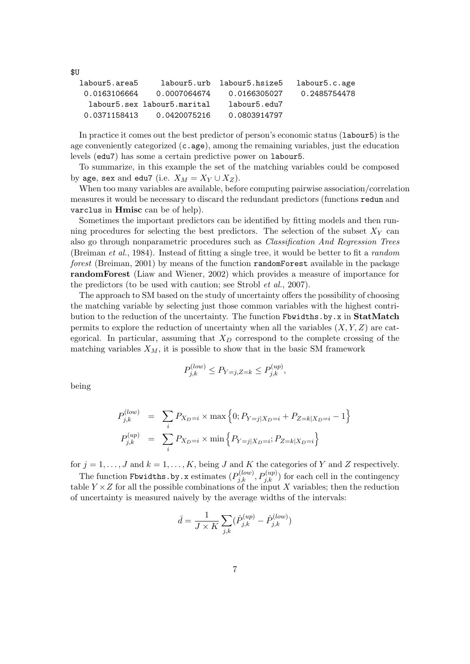| labour5.c.age | labour5.urb labour5.hsize5 |                             | labour5.area5 |
|---------------|----------------------------|-----------------------------|---------------|
|               |                            |                             |               |
| 0.2485754478  | 0.0166305027               | 0.0007064674                | 0.0163106664  |
|               | labour5.edu7               | labour5.sex labour5.marital |               |
|               | 0.0803914797               | 0.0420075216                | 0.0371158413  |

In practice it comes out the best predictor of person's economic status (labour5) is the age conveniently categorized  $(c, \text{age})$ , among the remaining variables, just the education levels (edu7) has some a certain predictive power on labour5.

To summarize, in this example the set of the matching variables could be composed by age, sex and edu7 (i.e.  $X_M = X_Y \cup X_Z$ ).

When too many variables are available, before computing pairwise association/correlation measures it would be necessary to discard the redundant predictors (functions redun and varclus in Hmisc can be of help).

Sometimes the important predictors can be identified by fitting models and then running procedures for selecting the best predictors. The selection of the subset  $X<sub>Y</sub>$  can also go through nonparametric procedures such as Classification And Regression Trees (Breiman et al., 1984). Instead of fitting a single tree, it would be better to fit a random forest (Breiman, 2001) by means of the function randomForest available in the package randomForest (Liaw and Wiener, 2002) which provides a measure of importance for the predictors (to be used with caution; see Strobl et al., 2007).

The approach to SM based on the study of uncertainty offers the possibility of choosing the matching variable by selecting just those common variables with the highest contribution to the reduction of the uncertainty. The function Fbwidths.by.x in StatMatch permits to explore the reduction of uncertainty when all the variables  $(X, Y, Z)$  are categorical. In particular, assuming that  $X_D$  correspond to the complete crossing of the matching variables  $X_M$ , it is possible to show that in the basic SM framework

$$
P_{j,k}^{(low)} \le P_{Y=j,Z=k} \le P_{j,k}^{(up)},
$$

being

\$U

$$
P_{j,k}^{(low)} = \sum_{i} P_{X_D=i} \times \max\left\{0; P_{Y=j|X_D=i} + P_{Z=k|X_D=i} - 1\right\}
$$
  

$$
P_{j,k}^{(up)} = \sum_{i} P_{X_D=i} \times \min\left\{P_{Y=j|X_D=i}; P_{Z=k|X_D=i}\right\}
$$

for  $j = 1, \ldots, J$  and  $k = 1, \ldots, K$ , being J and K the categories of Y and Z respectively.

The function Fbwidths.by.x estimates  $(P_{j,k}^{(low)}, P_{j,k}^{(up)})$  for each cell in the contingency table  $Y \times Z$  for all the possible combinations of the input X variables; then the reduction of uncertainty is measured naively by the average widths of the intervals:

$$
\bar{d} = \frac{1}{J \times K} \sum_{j,k} (\hat{P}_{j,k}^{(up)} - \hat{P}_{j,k}^{(low)})
$$

7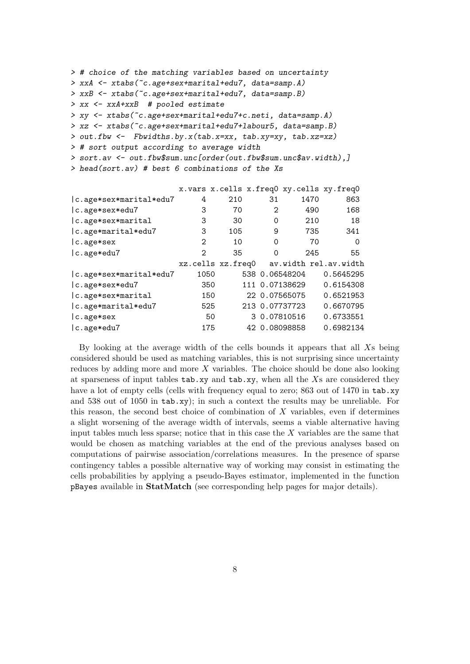```
> # choice of the matching variables based on uncertainty
> xxA <- xtabs(~c.age+sex+marital+edu7, data=samp.A)
> xxB <- xtabs(~c.age+sex+marital+edu7, data=samp.B)
> xx <- xxA+xxB # pooled estimate
> xy <- xtabs(~c.age+sex+marital+edu7+c.neti, data=samp.A)
> xz <- xtabs(~c.age+sex+marital+edu7+labour5, data=samp.B)
> out.fbw <- Fbwidths.by.x(tab.x=xx, tab.xy=xy, tab.xz=xz)
> # sort output according to average width
> sort.av <- out.fbw$sum.unc[order(out.fbw$sum.unc$av.width),]
> head(sort.av) # best 6 combinations of the Xs
```

|                                         |      | x.vars x.cells x.freq0 xy.cells xy.freq0 |          |                |           |
|-----------------------------------------|------|------------------------------------------|----------|----------------|-----------|
| c.age*sex*marital*edu7                  | 4    | 210                                      | 31       | 1470           | 863       |
| c.age*sex*edu7                          | 3    | 70                                       | 2        | 490            | 168       |
| c.age*sex*marital                       | 3    | 30                                       | 0        | 210            | 18        |
| c.age*marital*edu7                      | 3    | 105                                      | 9        | 735            | 341       |
| $ c \cdot \text{age} \cdot \text{sex} $ | 2    | 10                                       | $\Omega$ | 70             | $\Omega$  |
| c.age*edu7                              | 2    | 35                                       | $\Omega$ | 245            | 55        |
|                                         |      |                                          |          |                |           |
|                                         |      | xz.cells xz.freq0 av.width rel.av.width  |          |                |           |
| c.age*sex*marital*edu7                  | 1050 |                                          |          | 538 0.06548204 | 0.5645295 |
| c.age*sex*edu7                          | 350  |                                          |          | 111 0.07138629 | 0.6154308 |
| c.age*sex*marital                       | 150  |                                          |          | 22 0.07565075  | 0.6521953 |
| c.age*marital*edu7                      | 525  |                                          |          | 213 0.07737723 | 0.6670795 |
| $ c \cdot \text{age} \cdot \text{sex} $ | 50   |                                          |          | 3 0.07810516   | 0.6733551 |

By looking at the average width of the cells bounds it appears that all Xs being considered should be used as matching variables, this is not surprising since uncertainty reduces by adding more and more  $X$  variables. The choice should be done also looking at sparseness of input tables  $tab.xy$  and  $tab.xy$ , when all the Xs are considered they have a lot of empty cells (cells with frequency equal to zero; 863 out of 1470 in tab.xy and 538 out of 1050 in tab.xy); in such a context the results may be unreliable. For this reason, the second best choice of combination of  $X$  variables, even if determines a slight worsening of the average width of intervals, seems a viable alternative having input tables much less sparse; notice that in this case the  $X$  variables are the same that would be chosen as matching variables at the end of the previous analyses based on computations of pairwise association/correlations measures. In the presence of sparse contingency tables a possible alternative way of working may consist in estimating the cells probabilities by applying a pseudo-Bayes estimator, implemented in the function pBayes available in StatMatch (see corresponding help pages for major details).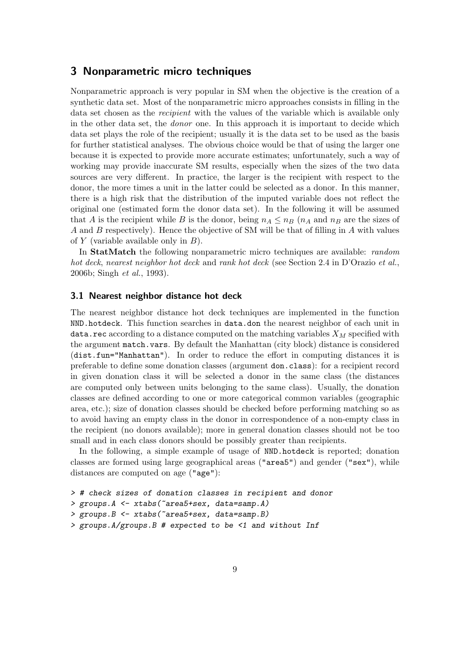# 3 Nonparametric micro techniques

Nonparametric approach is very popular in SM when the objective is the creation of a synthetic data set. Most of the nonparametric micro approaches consists in filling in the data set chosen as the recipient with the values of the variable which is available only in the other data set, the donor one. In this approach it is important to decide which data set plays the role of the recipient; usually it is the data set to be used as the basis for further statistical analyses. The obvious choice would be that of using the larger one because it is expected to provide more accurate estimates; unfortunately, such a way of working may provide inaccurate SM results, especially when the sizes of the two data sources are very different. In practice, the larger is the recipient with respect to the donor, the more times a unit in the latter could be selected as a donor. In this manner, there is a high risk that the distribution of the imputed variable does not reflect the original one (estimated form the donor data set). In the following it will be assumed that A is the recipient while B is the donor, being  $n_A \leq n_B$  ( $n_A$  and  $n_B$  are the sizes of A and B respectively). Hence the objective of SM will be that of filling in A with values of Y (variable available only in  $B$ ).

In StatMatch the following nonparametric micro techniques are available: random hot deck, nearest neighbor hot deck and rank hot deck (see Section 2.4 in D'Orazio et al., 2006b; Singh et al., 1993).

#### 3.1 Nearest neighbor distance hot deck

The nearest neighbor distance hot deck techniques are implemented in the function NND.hotdeck. This function searches in data.don the nearest neighbor of each unit in data.rec according to a distance computed on the matching variables  $X_M$  specified with the argument match.vars. By default the Manhattan (city block) distance is considered (dist.fun="Manhattan"). In order to reduce the effort in computing distances it is preferable to define some donation classes (argument don.class): for a recipient record in given donation class it will be selected a donor in the same class (the distances are computed only between units belonging to the same class). Usually, the donation classes are defined according to one or more categorical common variables (geographic area, etc.); size of donation classes should be checked before performing matching so as to avoid having an empty class in the donor in correspondence of a non-empty class in the recipient (no donors available); more in general donation classes should not be too small and in each class donors should be possibly greater than recipients.

In the following, a simple example of usage of NND.hotdeck is reported; donation classes are formed using large geographical areas ("area5") and gender ("sex"), while distances are computed on age ("age"):

```
> # check sizes of donation classes in recipient and donor
```

```
> groups.A <- xtabs(~area5+sex, data=samp.A)
```
- > groups.B <- xtabs(~area5+sex, data=samp.B)
- > groups.A/groups.B # expected to be <1 and without Inf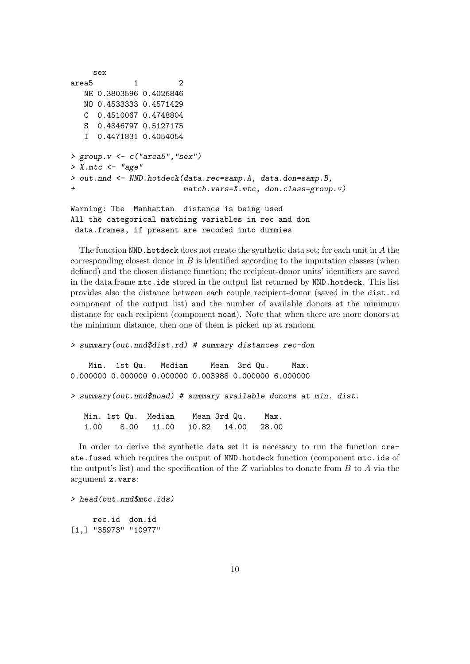```
sex
area5 1 2
  NE 0.3803596 0.4026846
  NO 0.4533333 0.4571429
  C 0.4510067 0.4748804
  S 0.4846797 0.5127175
  I 0.4471831 0.4054054
> group. v < -c ("area5", "sex")
> X.mtc < - "age"
> out.nnd <- NND.hotdeck(data.rec=samp.A, data.don=samp.B,
+ match.vars=X.mtc, don.class=group.v)
Warning: The Manhattan distance is being used
```

```
All the categorical matching variables in rec and don
data.frames, if present are recoded into dummies
```
The function  $NND$ . hotdeck does not create the synthetic data set; for each unit in A the corresponding closest donor in  $B$  is identified according to the imputation classes (when defined) and the chosen distance function; the recipient-donor units' identifiers are saved in the data.frame mtc.ids stored in the output list returned by NND.hotdeck. This list provides also the distance between each couple recipient-donor (saved in the dist.rd component of the output list) and the number of available donors at the minimum distance for each recipient (component noad). Note that when there are more donors at the minimum distance, then one of them is picked up at random.

```
> summary(out.nnd$dist.rd) # summary distances rec-don
```
Min. 1st Qu. Median Mean 3rd Qu. Max. 0.000000 0.000000 0.000000 0.003988 0.000000 6.000000

```
> summary(out.nnd$noad) # summary available donors at min. dist.
```
Min. 1st Qu. Median Mean 3rd Qu. Max. 1.00 8.00 11.00 10.82 14.00 28.00

In order to derive the synthetic data set it is necessary to run the function create.fused which requires the output of NND.hotdeck function (component mtc.ids of the output's list) and the specification of the  $Z$  variables to donate from  $B$  to  $A$  via the argument z.vars:

> head(out.nnd\$mtc.ids)

rec.id don.id [1,] "35973" "10977"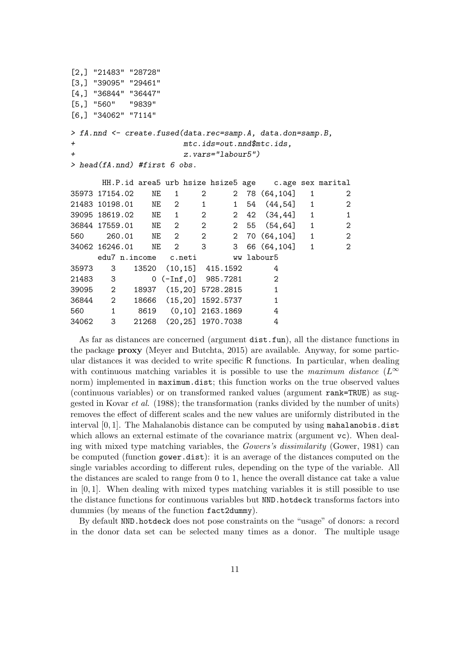|           | $[2,]$ "21483" "28728"         |                           |                         |   |                      |                                                            |              |                |
|-----------|--------------------------------|---------------------------|-------------------------|---|----------------------|------------------------------------------------------------|--------------|----------------|
|           | $[3,]$ "39095" "29461"         |                           |                         |   |                      |                                                            |              |                |
|           | $[4,]$ "36844" "36447"         |                           |                         |   |                      |                                                            |              |                |
|           | $[5,]$ "560" "9839"            |                           |                         |   |                      |                                                            |              |                |
|           | $[6,]$ "34062" "7114"          |                           |                         |   |                      |                                                            |              |                |
|           |                                |                           |                         |   |                      | > fA.nnd <- create.fused(data.rec=samp.A, data.don=samp.B, |              |                |
| $\ddot{}$ |                                |                           |                         |   |                      | $mtc.ids=out.nnd$mtc.ids$ ,                                |              |                |
| $\ddot{}$ |                                |                           |                         |   | $z.vars="labor5")$   |                                                            |              |                |
|           | > head(fA.nnd) #first $6$ obs. |                           |                         |   |                      |                                                            |              |                |
|           |                                |                           |                         |   |                      |                                                            |              |                |
|           |                                |                           |                         |   |                      | HH.P.id area5 urb hsize hsize5 age c.age sex marital       |              |                |
|           | 35973 17154.02                 | ΝE                        | 1                       | 2 |                      | 2 78 (64,104)                                              | 1            | $\overline{c}$ |
|           | 21483 10198.01                 |                           | NE 2 1                  |   |                      | 1 54 (44,54)                                               | $\mathbf{1}$ | $\overline{c}$ |
|           | 39095 18619.02 NE 1 2          |                           |                         |   |                      | 2 42 (34,44)                                               | $\mathbf{1}$ | $\mathbf{1}$   |
|           | 36844 17559.01 NE 2 2          |                           |                         |   |                      | 2 55 (54,64)                                               | $\mathbf{1}$ | $\overline{a}$ |
| 560 — 10  |                                |                           |                         |   |                      | 260.01 NE 2 2 2 70 (64,104)                                | 1            | $\overline{c}$ |
|           | 34062 16246.01                 |                           | NE 2 3                  |   |                      | 3 66 (64,104)                                              | $\mathbf{1}$ | $\overline{a}$ |
|           |                                | edu7 n.income c.neti      |                         |   |                      | ww labour5                                                 |              |                |
| 35973     | 3                              | 13520 (10,15] 415.1592    |                         |   |                      | 4                                                          |              |                |
| 21483 3   |                                |                           | $0$ (-Inf,0] $985.7281$ |   |                      | $\overline{2}$                                             |              |                |
| 39095 2   |                                | 18937 (15,20] 5728.2815 1 |                         |   |                      |                                                            |              |                |
| 36844 2   |                                | 18666 (15,20] 1592.5737   |                         |   |                      | $\mathbf{1}$                                               |              |                |
| 560       | $\overline{1}$                 | 8619                      | $(0,10]$ 2163.1869      |   |                      | 4                                                          |              |                |
| 34062     | 3                              | 21268                     |                         |   | $(20, 25]$ 1970.7038 | 4                                                          |              |                |

As far as distances are concerned (argument dist.fun), all the distance functions in the package proxy (Meyer and Butchta, 2015) are available. Anyway, for some particular distances it was decided to write specific R functions. In particular, when dealing with continuous matching variables it is possible to use the maximum distance  $(L^{\infty})$ norm) implemented in maximum.dist; this function works on the true observed values (continuous variables) or on transformed ranked values (argument rank=TRUE) as suggested in Kovar *et al.* (1988); the transformation (ranks divided by the number of units) removes the effect of different scales and the new values are uniformly distributed in the interval [0, 1]. The Mahalanobis distance can be computed by using mahalanobis.dist which allows an external estimate of the covariance matrix (argument vc). When dealing with mixed type matching variables, the Gowers's dissimilarity (Gower, 1981) can be computed (function gower.dist): it is an average of the distances computed on the single variables according to different rules, depending on the type of the variable. All the distances are scaled to range from 0 to 1, hence the overall distance cat take a value in [0, 1]. When dealing with mixed types matching variables it is still possible to use the distance functions for continuous variables but NND.hotdeck transforms factors into dummies (by means of the function fact2dummy).

By default NND.hotdeck does not pose constraints on the "usage" of donors: a record in the donor data set can be selected many times as a donor. The multiple usage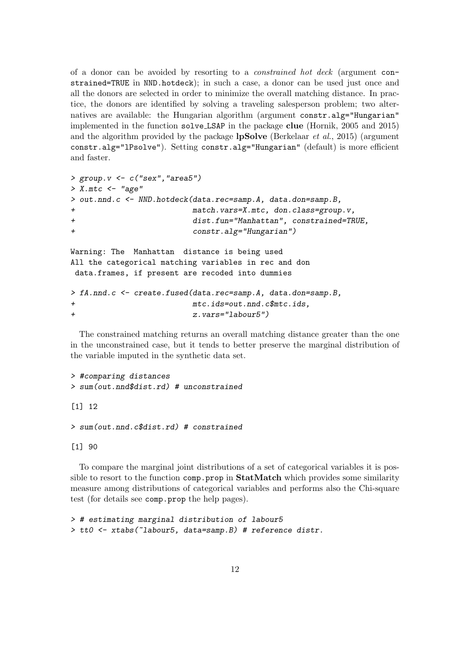of a donor can be avoided by resorting to a constrained hot deck (argument constrained=TRUE in NND.hotdeck); in such a case, a donor can be used just once and all the donors are selected in order to minimize the overall matching distance. In practice, the donors are identified by solving a traveling salesperson problem; two alternatives are available: the Hungarian algorithm (argument constr.alg="Hungarian" implemented in the function solve LSAP in the package clue (Hornik, 2005 and 2015) and the algorithm provided by the package **lpSolve** (Berkelaar *et al.*, 2015) (argument constr.alg="lPsolve"). Setting constr.alg="Hungarian" (default) is more efficient and faster.

```
> group.v <- c("sex","area5")
> X.mtc <- "age"
> out.nnd.c <- NND.hotdeck(data.rec=samp.A, data.don=samp.B,
+ match.vars=X.mtc, don.class=group.v,
+ dist.fun="Manhattan", constrained=TRUE,
+ constr.alg="Hungarian")
Warning: The Manhattan distance is being used
All the categorical matching variables in rec and don
data.frames, if present are recoded into dummies
> fA.nnd.c <- create.fused(data.rec=samp.A, data.don=samp.B,
```

```
+ mtc.ids=out.nnd.c$mtc.ids,
+ z.vars="labour5")
```
The constrained matching returns an overall matching distance greater than the one in the unconstrained case, but it tends to better preserve the marginal distribution of the variable imputed in the synthetic data set.

```
> #comparing distances
> sum(out.nnd$dist.rd) # unconstrained
[1] 12
```

```
> sum(out.nnd.c$dist.rd) # constrained
```
[1] 90

To compare the marginal joint distributions of a set of categorical variables it is possible to resort to the function  $comp.prop$  in StatMatch which provides some similarity measure among distributions of categorical variables and performs also the Chi-square test (for details see comp.prop the help pages).

```
> # estimating marginal distribution of labour5
> tt0 <- xtabs(~labour5, data=samp.B) # reference distr.
```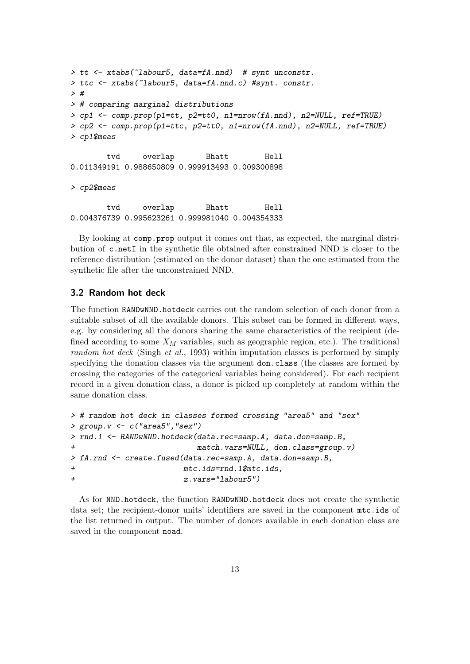```
> tt <- xtabs(~labour5, data=fA.nnd) # synt unconstr.
> ttc <- xtabs(~labour5, data=fA.nnd.c) #synt. constr.
> #
> # comparing marginal distributions
> cp1 <- comp.prop(p1=tt, p2=tt0, n1=nrow(fA.nnd), n2=NULL, ref=TRUE)
> cp2 <- comp.prop(p1=ttc, p2=tt0, n1=nrow(fA.nnd), n2=NULL, ref=TRUE)
> cp1$meas
       tvd overlap Bhatt Hell
0.011349191 0.988650809 0.999913493 0.009300898
> cp2$meas
       tvd overlap Bhatt Hell
0.004376739 0.995623261 0.999981040 0.004354333
```
By looking at comp.prop output it comes out that, as expected, the marginal distribution of c.netI in the synthetic file obtained after constrained NND is closer to the reference distribution (estimated on the donor dataset) than the one estimated from the synthetic file after the unconstrained NND.

### 3.2 Random hot deck

The function RANDwNND.hotdeck carries out the random selection of each donor from a suitable subset of all the available donors. This subset can be formed in different ways, e.g. by considering all the donors sharing the same characteristics of the recipient (defined according to some  $X_M$  variables, such as geographic region, etc.). The traditional random hot deck (Singh et al., 1993) within imputation classes is performed by simply specifying the donation classes via the argument don.class (the classes are formed by crossing the categories of the categorical variables being considered). For each recipient record in a given donation class, a donor is picked up completely at random within the same donation class.

```
> # random hot deck in classes formed crossing "area5" and "sex"
> group.v <- c("area5","sex")
> rnd.1 <- RANDwNND.hotdeck(data.rec=samp.A, data.don=samp.B,
                          match.vars=NULL, don.class=group.v)
> fA.rnd <- create.fused(data.rec=samp.A, data.don=samp.B,
                       mtc.ids=rnd.1$mtc.ids,
+ z.vars="labour5")
```
As for NND.hotdeck, the function RANDwNND.hotdeck does not create the synthetic data set; the recipient-donor units' identifiers are saved in the component mtc.ids of the list returned in output. The number of donors available in each donation class are saved in the component noad.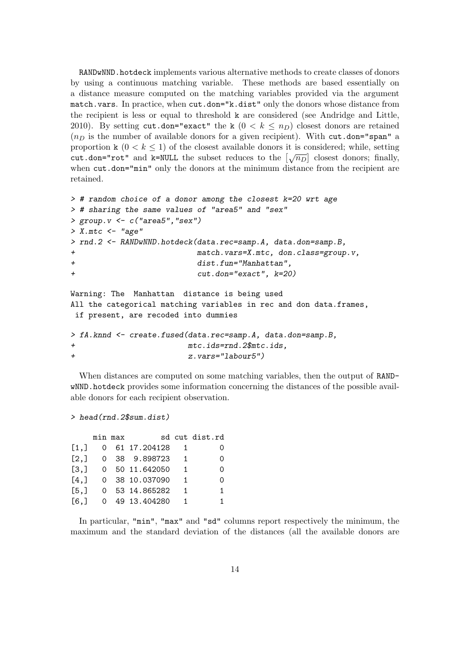RANDwNND.hotdeck implements various alternative methods to create classes of donors by using a continuous matching variable. These methods are based essentially on a distance measure computed on the matching variables provided via the argument match.vars. In practice, when cut.don="k.dist" only the donors whose distance from the recipient is less or equal to threshold k are considered (see Andridge and Little, 2010). By setting cut.don="exact" the k  $(0 < k \le n_D)$  closest donors are retained  $(n<sub>D</sub>)$  is the number of available donors for a given recipient). With cut.don="span" a proportion k  $(0 < k \le 1)$  of the closest available donors it is considered; while, setting cut.don="rot" and k=NULL the subset reduces to the  $\left[\sqrt{n_D}\right]$  closest donors; finally, when cut.don="min" only the donors at the minimum distance from the recipient are retained.

```
> # random choice of a donor among the closest k=20 wrt age
> # sharing the same values of "area5" and "sex"
> group.v < -c ("area5", "sex")
> X.mtc < - "age"
> rnd.2 <- RANDwNND.hotdeck(data.rec=samp.A, data.don=samp.B,
+ match.vars=X.mtc, don.class=group.v,
+ dist.fun="Manhattan",
+ cut.don="exact", k=20)
Warning: The Manhattan distance is being used
All the categorical matching variables in rec and don data.frames,
if present, are recoded into dummies
> fA.knnd <- create.fused(data.rec=samp.A, data.don=samp.B,
+ mtc.ids=rnd.2$mtc.ids,
+ z.vars="labour5")
```
When distances are computed on some matching variables, then the output of RANDwNND.hotdeck provides some information concerning the distances of the possible available donors for each recipient observation.

```
> head(rnd.2$sum.dist)
```

|       | min max |                |                | sd cut dist.rd |
|-------|---------|----------------|----------------|----------------|
| [1,]  |         | 0 61 17.204128 |                |                |
| [2,]  |         | 0 38 9.898723  | $\overline{1}$ | 0              |
| [3,]  |         | 0 50 11.642050 | $\overline{1}$ | 0              |
| [4,]  |         | 0 38 10.037090 |                | ∩              |
| [5,]  |         | 0 53 14.865282 | $\overline{1}$ | 1.             |
| [6.1] |         | 0 49 13.404280 | $\overline{1}$ | $\overline{1}$ |

In particular, "min", "max" and "sd" columns report respectively the minimum, the maximum and the standard deviation of the distances (all the available donors are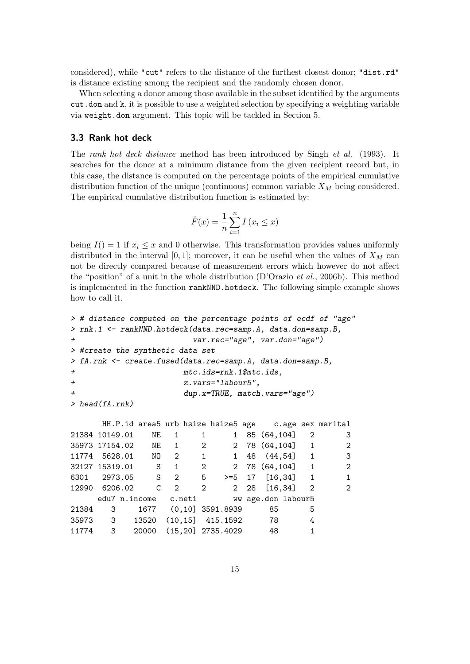considered), while "cut" refers to the distance of the furthest closest donor; "dist.rd" is distance existing among the recipient and the randomly chosen donor.

When selecting a donor among those available in the subset identified by the arguments cut.don and k, it is possible to use a weighted selection by specifying a weighting variable via weight.don argument. This topic will be tackled in Section 5.

#### 3.3 Rank hot deck

The rank hot deck distance method has been introduced by Singh et al. (1993). It searches for the donor at a minimum distance from the given recipient record but, in this case, the distance is computed on the percentage points of the empirical cumulative distribution function of the unique (continuous) common variable  $X_M$  being considered. The empirical cumulative distribution function is estimated by:

$$
\hat{F}(x) = \frac{1}{n} \sum_{i=1}^{n} I(x_i \le x)
$$

being  $I() = 1$  if  $x_i \leq x$  and 0 otherwise. This transformation provides values uniformly distributed in the interval [0, 1]; moreover, it can be useful when the values of  $X_M$  can not be directly compared because of measurement errors which however do not affect the "position" of a unit in the whole distribution (D'Orazio et al., 2006b). This method is implemented in the function rankNND.hotdeck. The following simple example shows how to call it.

```
> # distance computed on the percentage points of ecdf of "age"
> rnk.1 <- rankNND.hotdeck(data.rec=samp.A, data.don=samp.B,
+ var.rec="age", var.don="age")
> #create the synthetic data set
> fA.rnk <- create.fused(data.rec=samp.A, data.don=samp.B,
+ mtc.ids=rnk.1$mtc.ids,
+ z.vars="labour5",
+ dup.x=TRUE, match.vars="age")
> head(fA.rnk)
```

|  |                   |     |                                    | HH.P.id area5 urb hsize hsize5 age c.age sex marital |              |                         |
|--|-------------------|-----|------------------------------------|------------------------------------------------------|--------------|-------------------------|
|  | 21384 10149.01 NE | 1 1 | $1 \quad$                          | 85 (64,104) 2                                        |              | 3                       |
|  |                   |     |                                    | 35973 17154.02 NE 1 2 2 78 (64,104] 1                |              | 2                       |
|  |                   |     |                                    | 11774 5628.01 NO 2 1 1 48 (44,54) 1                  |              | $\overline{\mathbf{3}}$ |
|  |                   |     |                                    | 32127 15319.01 S 1 2 2 78 (64,104] 1                 |              | 2                       |
|  |                   |     |                                    | 6301 2973.05 S 2 5 >=5 17 [16,34] 1                  |              | $\mathbf{1}$            |
|  |                   |     |                                    |                                                      |              | $\overline{2}$          |
|  |                   |     |                                    | edu7 n.income c.neti ww age.don labour5              |              |                         |
|  |                   |     | 21384 3 1677 (0,10] 3591.8939      | 85                                                   | 5            |                         |
|  |                   |     | 35973 3 13520 (10,15] 415.1592 78  |                                                      | 4            |                         |
|  |                   |     | 11774 3 20000 (15,20] 2735.4029 48 |                                                      | $\mathbf{1}$ |                         |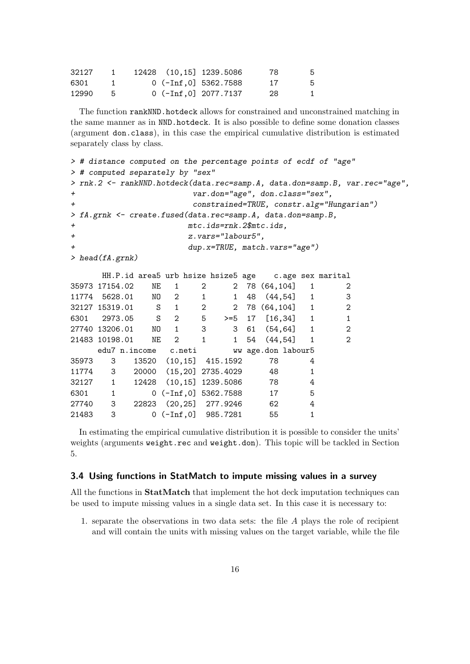| 32127 |  | 12428 (10,15) 1239.5086 | 78  | 5. |
|-------|--|-------------------------|-----|----|
| 6301  |  | $0$ (-Inf.0] 5362.7588  | -17 | -5 |
| 12990 |  | $0$ (-Inf, 0] 2077.7137 | -28 | 1. |

The function rankNND.hotdeck allows for constrained and unconstrained matching in the same manner as in NND.hotdeck. It is also possible to define some donation classes (argument don.class), in this case the empirical cumulative distribution is estimated separately class by class.

```
> # distance computed on the percentage points of ecdf of "age"
> # computed separately by "sex"
> rnk.2 <- rankNND.hotdeck(data.rec=samp.A, data.don=samp.B, var.rec="age",
+ var.don="age", don.class="sex",
+ constrained=TRUE, constr.alg="Hungarian")
> fA.grnk <- create.fused(data.rec=samp.A, data.don=samp.B,
+ mtc.ids=rnk.2$mtc.ids,
+ z.vars="labour5",
+ dup.x=TRUE, match.vars="age")
> head(fA.grnk)
    HH.P.id area5 urb hsize hsize5 age c.age sex marital
35973 17154.02 NE 1 2 2 78 (64,104] 1 2
11774 5628.01 NO 2 1 1 48 (44,54) 1 3
32127 15319.01 S 1 2 2 78 (64,104] 1 2
6301 2973.05 S 2 5 >=5 17 [16,34] 1 1
27740 13206.01 NO 1 3 3 61 (54,64] 1 2
21483 10198.01 NE 2 1 1 54 (44,54) 1 2
    edu7 n.income c.neti ww age.don labour5
35973 3 13520 (10,15] 415.1592 78 4
11774 3 20000 (15,20] 2735.4029 48 1
32127 1 12428 (10,15] 1239.5086 78 4
6301 1 0 (-Inf,0] 5362.7588 17 5
27740 3 22823 (20,25] 277.9246 62 4
```
In estimating the empirical cumulative distribution it is possible to consider the units' weights (arguments weight.rec and weight.don). This topic will be tackled in Section 5.

#### 3.4 Using functions in StatMatch to impute missing values in a survey

21483 3 0 (-Inf,0] 985.7281 55 1

All the functions in **StatMatch** that implement the hot deck imputation techniques can be used to impute missing values in a single data set. In this case it is necessary to:

1. separate the observations in two data sets: the file A plays the role of recipient and will contain the units with missing values on the target variable, while the file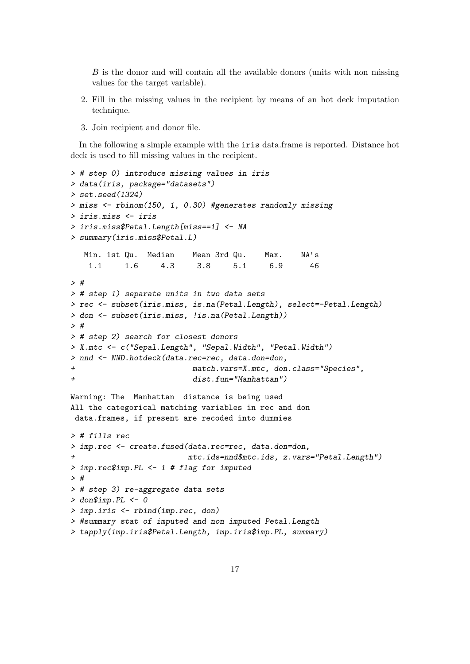B is the donor and will contain all the available donors (units with non missing values for the target variable).

- 2. Fill in the missing values in the recipient by means of an hot deck imputation technique.
- 3. Join recipient and donor file.

In the following a simple example with the iris data.frame is reported. Distance hot deck is used to fill missing values in the recipient.

```
> # step 0) introduce missing values in iris
> data(iris, package="datasets")
> set.seed(1324)
> miss <- rbinom(150, 1, 0.30) #generates randomly missing
> iris.miss <- iris
> iris.miss$Petal.Length[miss==1] <- NA
> summary(iris.miss$Petal.L)
  Min. 1st Qu. Median Mean 3rd Qu. Max. NA's
   1.1 1.6 4.3 3.8 5.1 6.9 46
> #
> # step 1) separate units in two data sets
> rec <- subset(iris.miss, is.na(Petal.Length), select=-Petal.Length)
> don <- subset(iris.miss, !is.na(Petal.Length))
> #
> # step 2) search for closest donors
> X.mtc <- c("Sepal.Length", "Sepal.Width", "Petal.Width")
> nnd <- NND.hotdeck(data.rec=rec, data.don=don,
+ match.vars=X.mtc, don.class="Species",
+ dist.fun="Manhattan")
Warning: The Manhattan distance is being used
All the categorical matching variables in rec and don
data.frames, if present are recoded into dummies
> # fills rec
> imp.rec <- create.fused(data.rec=rec, data.don=don,
+ mtc.ids=nnd$mtc.ids, z.vars="Petal.Length")
> imp.rec$imp.PL <- 1 # flag for imputed
> #
> # step 3) re-aggregate data sets
> don$imp.PL <- 0
> imp.iris <- rbind(imp.rec, don)
> #summary stat of imputed and non imputed Petal.Length
> tapply(imp.iris$Petal.Length, imp.iris$imp.PL, summary)
```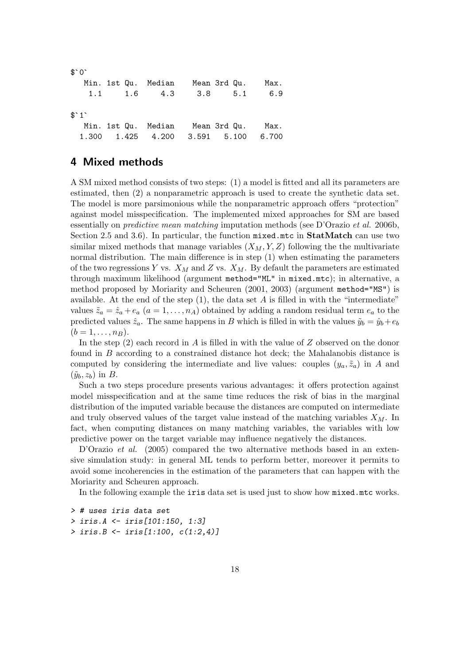```
$°0<sup>-</sup>
  Min. 1st Qu. Median Mean 3rd Qu. Max.
   1.1 1.6 4.3 3.8 5.1 6.9
$^{\circ}1^{\circ}Min. 1st Qu. Median Mean 3rd Qu. Max.
 1.300 1.425 4.200 3.591 5.100 6.700
```
# 4 Mixed methods

A SM mixed method consists of two steps: (1) a model is fitted and all its parameters are estimated, then (2) a nonparametric approach is used to create the synthetic data set. The model is more parsimonious while the nonparametric approach offers "protection" against model misspecification. The implemented mixed approaches for SM are based essentially on predictive mean matching imputation methods (see D'Orazio et al. 2006b, Section 2.5 and 3.6). In particular, the function mixed.mtc in StatMatch can use two similar mixed methods that manage variables  $(X_M, Y, Z)$  following the the multivariate normal distribution. The main difference is in step (1) when estimating the parameters of the two regressions Y vs.  $X_M$  and Z vs.  $X_M$ . By default the parameters are estimated through maximum likelihood (argument method="ML" in mixed.mtc); in alternative, a method proposed by Moriarity and Scheuren (2001, 2003) (argument method="MS") is available. At the end of the step  $(1)$ , the data set A is filled in with the "intermediate" values  $\tilde{z}_a = \hat{z}_a + e_a$   $(a = 1, \ldots, n_A)$  obtained by adding a random residual term  $e_a$  to the predicted values  $\hat{z}_a$ . The same happens in B which is filled in with the values  $\tilde{y}_b = \hat{y}_b + e_b$  $(b = 1, \ldots, n_B).$ 

In the step  $(2)$  each record in A is filled in with the value of Z observed on the donor found in B according to a constrained distance hot deck; the Mahalanobis distance is computed by considering the intermediate and live values: couples  $(y_a, \tilde{z}_a)$  in A and  $(\tilde{y}_b, z_b)$  in B.

Such a two steps procedure presents various advantages: it offers protection against model misspecification and at the same time reduces the risk of bias in the marginal distribution of the imputed variable because the distances are computed on intermediate and truly observed values of the target value instead of the matching variables  $X_M$ . In fact, when computing distances on many matching variables, the variables with low predictive power on the target variable may influence negatively the distances.

D'Orazio et al. (2005) compared the two alternative methods based in an extensive simulation study: in general ML tends to perform better, moreover it permits to avoid some incoherencies in the estimation of the parameters that can happen with the Moriarity and Scheuren approach.

In the following example the iris data set is used just to show how mixed.mtc works.

```
> # uses iris data set
> iris.A <- iris[101:150, 1:3]
> iris.B <- iris[1:100, c(1:2,4)]
```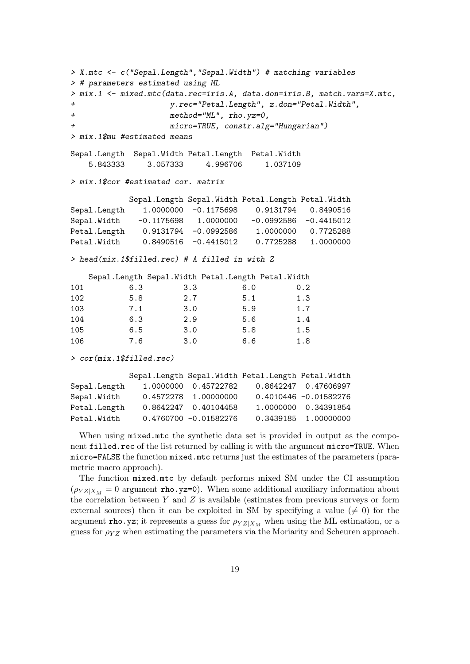```
> X.mtc <- c("Sepal.Length","Sepal.Width") # matching variables
> # parameters estimated using ML
> mix.1 <- mixed.mtc(data.rec=iris.A, data.don=iris.B, match.vars=X.mtc,
+ y.rec="Petal.Length", z.don="Petal.Width",
+ method="ML", rho.yz=0,
+ micro=TRUE, constr.alg="Hungarian")
> mix.1$mu #estimated means
Sepal.Length Sepal.Width Petal.Length Petal.Width
   5.843333 3.057333 4.996706 1.037109
> mix.1$cor #estimated cor. matrix
          Sepal.Length Sepal.Width Petal.Length Petal.Width
Sepal.Length  1.0000000 -0.1175698  0.9131794  0.8490516
Sepal.Width -0.1175698 1.0000000 -0.0992586 -0.4415012
Petal.Length  0.9131794 -0.0992586  1.0000000  0.7725288
Petal.Width 0.8490516 -0.4415012 0.7725288 1.0000000
> head(mix.1$filled.rec) # A filled in with Z
   Sepal.Length Sepal.Width Petal.Length Petal.Width
101 6.3 3.3 6.0 0.2
102 5.8 2.7 5.1 1.3
103 7.1 3.0 5.9 1.7
104 6.3 2.9 5.6 1.4
105 6.5 3.0 5.8 1.5
106 7.6 3.0 6.6 1.8
> cor(mix.1$filled.rec)
          Sepal.Length Sepal.Width Petal.Length Petal.Width
Sepal.Length 1.0000000 0.45722782 0.8642247 0.47606997
Sepal.Width  0.4572278  1.00000000  0.4010446 -0.01582276
Petal.Length 0.8642247 0.40104458 1.0000000 0.34391854
Petal.Width  0.4760700 -0.01582276  0.3439185  1.00000000
```
When using mixed.mtc the synthetic data set is provided in output as the component filled.rec of the list returned by calling it with the argument micro=TRUE. When micro=FALSE the function mixed.mtc returns just the estimates of the parameters (parametric macro approach).

The function mixed.mtc by default performs mixed SM under the CI assumption  $(\rho_{YZ|X_M} = 0$  argument rho.yz=0). When some additional auxiliary information about the correlation between  $Y$  and  $Z$  is available (estimates from previous surveys or form external sources) then it can be exploited in SM by specifying a value ( $\neq$  0) for the argument rho.yz; it represents a guess for  $\rho_{YZ|X_M}$  when using the ML estimation, or a guess for  $\rho_{YZ}$  when estimating the parameters via the Moriarity and Scheuren approach.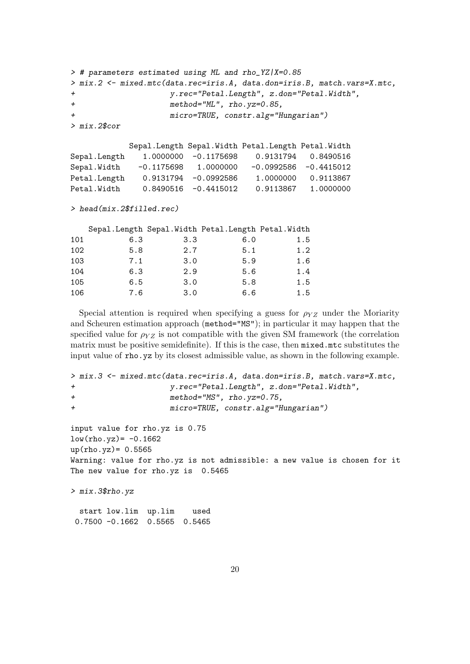```
> # parameters estimated using ML and rho_YZ|X=0.85
> mix.2 <- mixed.mtc(data.rec=iris.A, data.don=iris.B, match.vars=X.mtc,
+ y.rec="Petal.Length", z.don="Petal.Width",
+ method="ML", rho.yz=0.85,
+ micro=TRUE, constr.alg="Hungarian")
> mix.2$cor
         Sepal.Length Sepal.Width Petal.Length Petal.Width
Sepal.Length 1.0000000 -0.1175698 0.9131794 0.8490516
Sepal.Width -0.1175698 1.0000000 -0.0992586 -0.4415012
Petal.Length 0.9131794 -0.0992586 1.0000000 0.9113867
Petal.Width 0.8490516 -0.4415012 0.9113867 1.0000000
> head(mix.2$filled.rec)
  Sepal.Length Sepal.Width Petal.Length Petal.Width
101 6.3 3.3 6.0 1.5
102 5.8 2.7 5.1 1.2
103 7.1 3.0 5.9 1.6
104 6.3 2.9 5.6 1.4
105 6.5 3.0 5.8 1.5
106 7.6 3.0 6.6 1.5
```
Special attention is required when specifying a guess for  $\rho_{YZ}$  under the Moriarity and Scheuren estimation approach (method="MS"); in particular it may happen that the specified value for  $\rho_{YZ}$  is not compatible with the given SM framework (the correlation matrix must be positive semidefinite). If this is the case, then mixed.mtc substitutes the input value of rho.yz by its closest admissible value, as shown in the following example.

```
> mix.3 <- mixed.mtc(data.rec=iris.A, data.don=iris.B, match.vars=X.mtc,
+ y.rec="Petal.Length", z.don="Petal.Width",
+ method="MS", rho.yz=0.75,
+ micro=TRUE, constr.alg="Hungarian")
input value for rho.yz is 0.75
low(rho.yz) = -0.1662up(rho.yz)= 0.5565Warning: value for rho.yz is not admissible: a new value is chosen for it
The new value for rho.yz is 0.5465
> mix.3$rho.yz
 start low.lim up.lim used
0.7500 -0.1662 0.5565 0.5465
```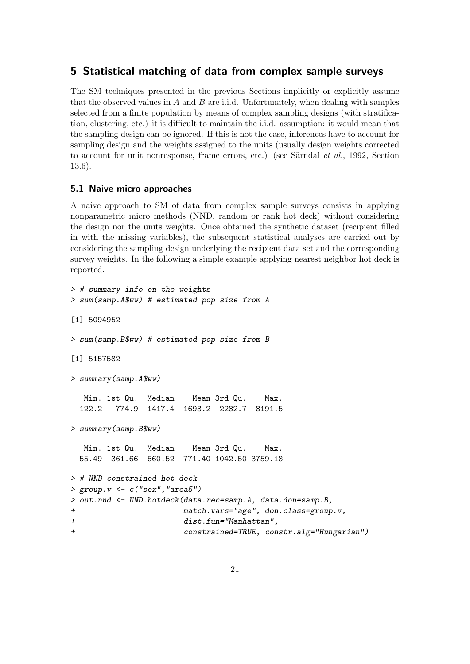# 5 Statistical matching of data from complex sample surveys

The SM techniques presented in the previous Sections implicitly or explicitly assume that the observed values in  $A$  and  $B$  are i.i.d. Unfortunately, when dealing with samples selected from a finite population by means of complex sampling designs (with stratification, clustering, etc.) it is difficult to maintain the i.i.d. assumption: it would mean that the sampling design can be ignored. If this is not the case, inferences have to account for sampling design and the weights assigned to the units (usually design weights corrected to account for unit nonresponse, frame errors, etc.) (see Särndal *et al.*, 1992, Section 13.6).

#### 5.1 Naive micro approaches

A naive approach to SM of data from complex sample surveys consists in applying nonparametric micro methods (NND, random or rank hot deck) without considering the design nor the units weights. Once obtained the synthetic dataset (recipient filled in with the missing variables), the subsequent statistical analyses are carried out by considering the sampling design underlying the recipient data set and the corresponding survey weights. In the following a simple example applying nearest neighbor hot deck is reported.

```
> # summary info on the weights
> sum(samp.A$ww) # estimated pop size from A
[1] 5094952
> sum(samp.B$ww) # estimated pop size from B
[1] 5157582
> summary(samp.A$ww)
  Min. 1st Qu. Median Mean 3rd Qu. Max.
 122.2 774.9 1417.4 1693.2 2282.7 8191.5
> summary(samp.B$ww)
  Min. 1st Qu. Median Mean 3rd Qu. Max.
 55.49 361.66 660.52 771.40 1042.50 3759.18
> # NND constrained hot deck
> group. v < -c ("sex", "area5")
> out.nnd <- NND.hotdeck(data.rec=samp.A, data.don=samp.B,
+ match.vars="age", don.class=group.v,
+ dist.fun="Manhattan",
+ constrained=TRUE, constr.alg="Hungarian")
```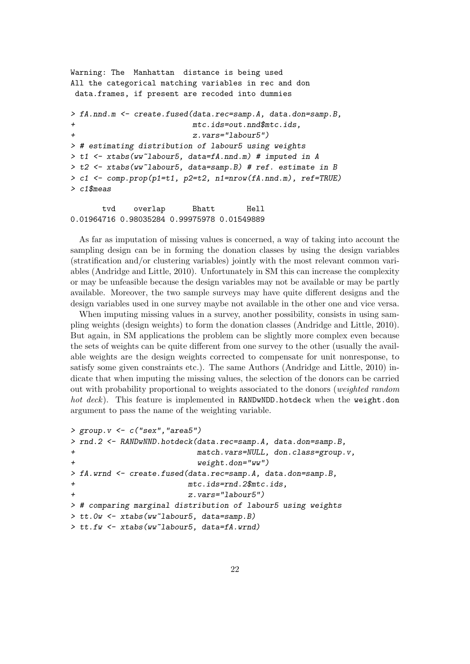```
Warning: The Manhattan distance is being used
All the categorical matching variables in rec and don
data.frames, if present are recoded into dummies
> fA.nnd.m <- create.fused(data.rec=samp.A, data.don=samp.B,
+ mtc.ids=out.nnd$mtc.ids,
+ z.vars="labour5")
> # estimating distribution of labour5 using weights
> t1 <- xtabs(ww~labour5, data=fA.nnd.m) # imputed in A
> t2 <- xtabs(ww~labour5, data=samp.B) # ref. estimate in B
> c1 <- comp.prop(p1=t1, p2=t2, n1=nrow(fA.nnd.m), ref=TRUE)
> c1$meas
```
tvd overlap Bhatt Hell 0.01964716 0.98035284 0.99975978 0.01549889

As far as imputation of missing values is concerned, a way of taking into account the sampling design can be in forming the donation classes by using the design variables (stratification and/or clustering variables) jointly with the most relevant common variables (Andridge and Little, 2010). Unfortunately in SM this can increase the complexity or may be unfeasible because the design variables may not be available or may be partly available. Moreover, the two sample surveys may have quite different designs and the design variables used in one survey maybe not available in the other one and vice versa.

When imputing missing values in a survey, another possibility, consists in using sampling weights (design weights) to form the donation classes (Andridge and Little, 2010). But again, in SM applications the problem can be slightly more complex even because the sets of weights can be quite different from one survey to the other (usually the available weights are the design weights corrected to compensate for unit nonresponse, to satisfy some given constraints etc.). The same Authors (Andridge and Little, 2010) indicate that when imputing the missing values, the selection of the donors can be carried out with probability proportional to weights associated to the donors (weighted random hot deck). This feature is implemented in RANDwNDD.hotdeck when the weight.don argument to pass the name of the weighting variable.

```
> group. v < -c ("sex", "area5")
> rnd.2 <- RANDwNND.hotdeck(data.rec=samp.A, data.don=samp.B,
+ match.vars=NULL, don.class=group.v,
                         weight.don="ww")> fA.wrnd <- create.fused(data.rec=samp.A, data.don=samp.B,
+ mtc.ids=rnd.2$mtc.ids,
                       z.vars="labour5")
> # comparing marginal distribution of labour5 using weights
> tt.0w <- xtabs(ww~labour5, data=samp.B)
> tt.fw <- xtabs(ww~labour5, data=fA.wrnd)
```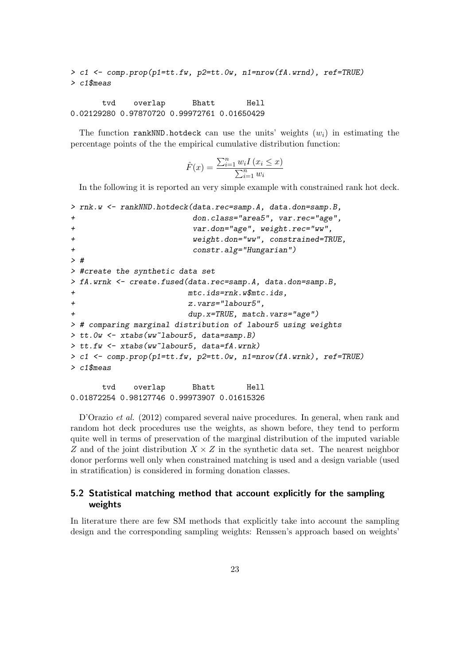```
> c1 <- comp.prop(p1=tt.fw, p2=tt.0w, n1=nrow(fA.wrnd), ref=TRUE)
> c1$meas
```
tvd overlap Bhatt Hell 0.02129280 0.97870720 0.99972761 0.01650429

The function rankNND.hotdeck can use the units' weights  $(w<sub>i</sub>)$  in estimating the percentage points of the the empirical cumulative distribution function:

$$
\hat{F}(x) = \frac{\sum_{i=1}^{n} w_i I(x_i \leq x)}{\sum_{i=1}^{n} w_i}
$$

In the following it is reported an very simple example with constrained rank hot deck.

```
> rnk.w <- rankNND.hotdeck(data.rec=samp.A, data.don=samp.B,
+ don.class="area5", var.rec="age",
+ var.don="age", weight.rec="ww",
+ weight.don="ww", constrained=TRUE,
+ constr.alg="Hungarian")
> #
> #create the synthetic data set
> fA.wrnk <- create.fused(data.rec=samp.A, data.don=samp.B,
+ mtc.ids=rnk.w$mtc.ids,
+ z.vars="labour5",
+ dup.x=TRUE, match.vars="age")
> # comparing marginal distribution of labour5 using weights
> tt.0w <- xtabs(ww~labour5, data=samp.B)
> tt.fw <- xtabs(ww~labour5, data=fA.wrnk)
> c1 <- comp.prop(p1=tt.fw, p2=tt.0w, n1=nrow(fA.wrnk), ref=TRUE)
> c1$meas
     tvd overlap Bhatt Hell
```
0.01872254 0.98127746 0.99973907 0.01615326

D'Orazio et al. (2012) compared several naive procedures. In general, when rank and random hot deck procedures use the weights, as shown before, they tend to perform quite well in terms of preservation of the marginal distribution of the imputed variable Z and of the joint distribution  $X \times Z$  in the synthetic data set. The nearest neighbor donor performs well only when constrained matching is used and a design variable (used in stratification) is considered in forming donation classes.

### 5.2 Statistical matching method that account explicitly for the sampling weights

In literature there are few SM methods that explicitly take into account the sampling design and the corresponding sampling weights: Renssen's approach based on weights'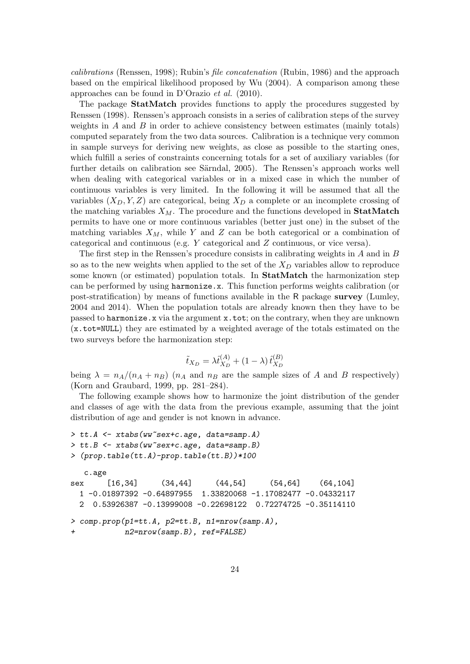calibrations (Renssen, 1998); Rubin's file concatenation (Rubin, 1986) and the approach based on the empirical likelihood proposed by Wu (2004). A comparison among these approaches can be found in D'Orazio et al. (2010).

The package StatMatch provides functions to apply the procedures suggested by Renssen (1998). Renssen's approach consists in a series of calibration steps of the survey weights in  $A$  and  $B$  in order to achieve consistency between estimates (mainly totals) computed separately from the two data sources. Calibration is a technique very common in sample surveys for deriving new weights, as close as possible to the starting ones, which fulfill a series of constraints concerning totals for a set of auxiliary variables (for further details on calibration see Särndal, 2005). The Renssen's approach works well when dealing with categorical variables or in a mixed case in which the number of continuous variables is very limited. In the following it will be assumed that all the variables  $(X_D, Y, Z)$  are categorical, being  $X_D$  a complete or an incomplete crossing of the matching variables  $X_M$ . The procedure and the functions developed in **StatMatch** permits to have one or more continuous variables (better just one) in the subset of the matching variables  $X_M$ , while Y and Z can be both categorical or a combination of categorical and continuous (e.g. Y categorical and Z continuous, or vice versa).

The first step in the Renssen's procedure consists in calibrating weights in  $A$  and in  $B$ so as to the new weights when applied to the set of the  $X_D$  variables allow to reproduce some known (or estimated) population totals. In **StatMatch** the harmonization step can be performed by using harmonize.x. This function performs weights calibration (or post-stratification) by means of functions available in the R package survey (Lumley, 2004 and 2014). When the population totals are already known then they have to be passed to harmonize.x via the argument x.tot; on the contrary, when they are unknown (x.tot=NULL) they are estimated by a weighted average of the totals estimated on the two surveys before the harmonization step:

$$
\tilde{t}_{X_D} = \lambda \hat{t}_{X_D}^{(A)} + (1 - \lambda) \,\hat{t}_{X_D}^{(B)}
$$

being  $\lambda = n_A/(n_A + n_B)$  ( $n_A$  and  $n_B$  are the sample sizes of A and B respectively) (Korn and Graubard, 1999, pp. 281–284).

The following example shows how to harmonize the joint distribution of the gender and classes of age with the data from the previous example, assuming that the joint distribution of age and gender is not known in advance.

```
> tt.A <- xtabs(ww~sex+c.age, data=samp.A)
> tt.B <- xtabs(ww~sex+c.age, data=samp.B)
> (prop.table(tt.A)-prop.table(tt.B))*100
  c.age
sex [16,34] (34,44] (44,54] (54,64] (64,104]
 1 -0.01897392 -0.64897955 1.33820068 -1.17082477 -0.04332117
 2 0.53926387 -0.13999008 -0.22698122 0.72274725 -0.35114110
> comp.prop(p1=tt.A, p2=tt.B, n1=nrow(samp.A),
+ n2=nrow(samp.B), ref=FALSE)
```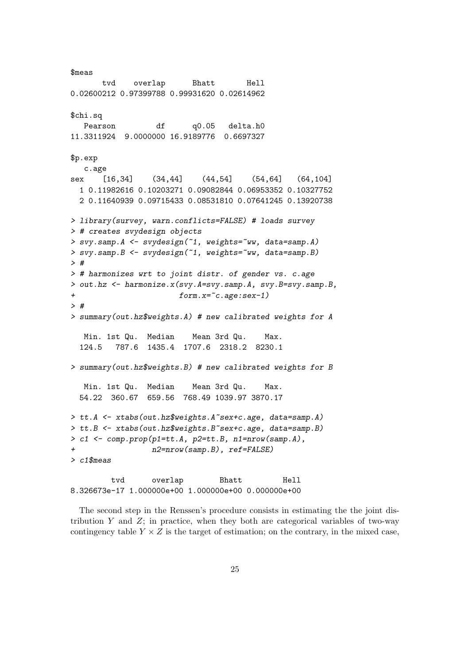\$meas tvd overlap Bhatt Hell 0.02600212 0.97399788 0.99931620 0.02614962 \$chi.sq Pearson df q0.05 delta.h0 11.3311924 9.0000000 16.9189776 0.6697327 \$p.exp c.age sex [16,34] (34,44] (44,54] (54,64] (64,104] 1 0.11982616 0.10203271 0.09082844 0.06953352 0.10327752 2 0.11640939 0.09715433 0.08531810 0.07641245 0.13920738 > library(survey, warn.conflicts=FALSE) # loads survey > # creates svydesign objects > svy.samp.A <- svydesign(~1, weights=~ww, data=samp.A) > svy.samp.B <- svydesign(~1, weights=~ww, data=samp.B) > # > # harmonizes wrt to joint distr. of gender vs. c.age > out.hz <- harmonize.x(svy.A=svy.samp.A, svy.B=svy.samp.B, + form.x=~c.age:sex-1) > # > summary(out.hz\$weights.A) # new calibrated weights for A Min. 1st Qu. Median Mean 3rd Qu. Max. 124.5 787.6 1435.4 1707.6 2318.2 8230.1 > summary(out.hz\$weights.B) # new calibrated weights for B Min. 1st Qu. Median Mean 3rd Qu. Max. 54.22 360.67 659.56 768.49 1039.97 3870.17 > tt.A <- xtabs(out.hz\$weights.A~sex+c.age, data=samp.A) > tt.B <- xtabs(out.hz\$weights.B~sex+c.age, data=samp.B) > c1 <- comp.prop(p1=tt.A, p2=tt.B, n1=nrow(samp.A), + n2=nrow(samp.B), ref=FALSE) > c1\$meas tvd overlap Bhatt Hell

The second step in the Renssen's procedure consists in estimating the the joint distribution  $Y$  and  $Z$ ; in practice, when they both are categorical variables of two-way contingency table  $Y \times Z$  is the target of estimation; on the contrary, in the mixed case,

8.326673e-17 1.000000e+00 1.000000e+00 0.000000e+00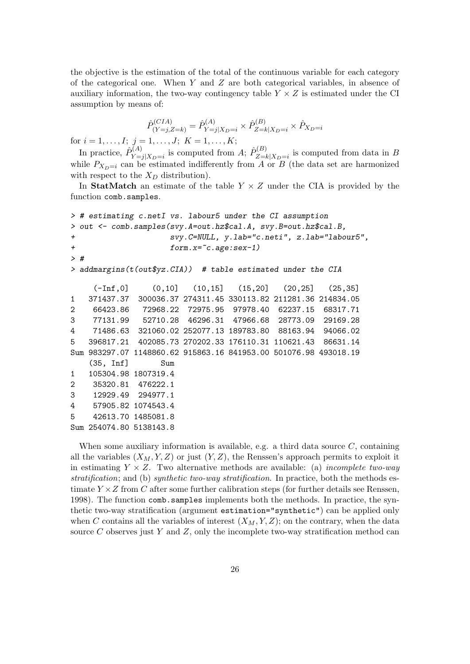the objective is the estimation of the total of the continuous variable for each category of the categorical one. When Y and Z are both categorical variables, in absence of auxiliary information, the two-way contingency table  $Y \times Z$  is estimated under the CI assumption by means of:

$$
\hat{P}_{(Y=j,Z=k)}^{(CIA)} = \hat{P}_{Y=j|X_D=i}^{(A)} \times \hat{P}_{Z=k|X_D=i}^{(B)} \times \hat{P}_{X_D=i}
$$

for  $i = 1, \ldots, I; j = 1, \ldots, J; K = 1, \ldots, K;$ 

In practice,  $\hat{P}_{V-}^{(A)}$  $Y_{j=1}^{(A)}|X_{D}=i}$  is computed from A;  $\hat{P}_{Z=i}^{(B)}$  $\sum_{Z=k|X_D=i}^{D(D)}$  is computed from data in B while  $P_{X_D=i}$  can be estimated indifferently from A or B (the data set are harmonized with respect to the  $X_D$  distribution).

In StatMatch an estimate of the table  $Y \times Z$  under the CIA is provided by the function comb.samples.

```
> # estimating c.netI vs. labour5 under the CI assumption
> out <- comb.samples(svy.A=out.hz$cal.A, svy.B=out.hz$cal.B,
+ svy.C=NULL, y.lab="c.neti", z.lab="labour5",
+ form.x=~c.age:sex-1)
> #
> addmargins(t(out$yz.CIA)) # table estimated under the CIA
    (-Inf,0] (0,10] (10,15] (15,20] (20,25] (25,35]
1 371437.37 300036.37 274311.45 330113.82 211281.36 214834.05
2 66423.86 72968.22 72975.95 97978.40 62237.15 68317.71
3 77131.99 52710.28 46296.31 47966.68 28773.09 29169.28
4 71486.63 321060.02 252077.13 189783.80 88163.94 94066.02
5 396817.21 402085.73 270202.33 176110.31 110621.43 86631.14
Sum 983297.07 1148860.62 915863.16 841953.00 501076.98 493018.19
   (35, Inf] Sum
1 105304.98 1807319.4
2 35320.81 476222.1
3 12929.49 294977.1
4 57905.82 1074543.4
5 42613.70 1485081.8
Sum 254074.80 5138143.8
```
When some auxiliary information is available, e.g. a third data source  $C$ , containing all the variables  $(X_M, Y, Z)$  or just  $(Y, Z)$ , the Renssen's approach permits to exploit it in estimating  $Y \times Z$ . Two alternative methods are available: (a) *incomplete two-way* stratification; and (b) synthetic two-way stratification. In practice, both the methods estimate  $Y \times Z$  from C after some further calibration steps (for further details see Renssen, 1998). The function comb.samples implements both the methods. In practice, the synthetic two-way stratification (argument estimation="synthetic") can be applied only when C contains all the variables of interest  $(X_M, Y, Z)$ ; on the contrary, when the data source  $C$  observes just  $Y$  and  $Z$ , only the incomplete two-way stratification method can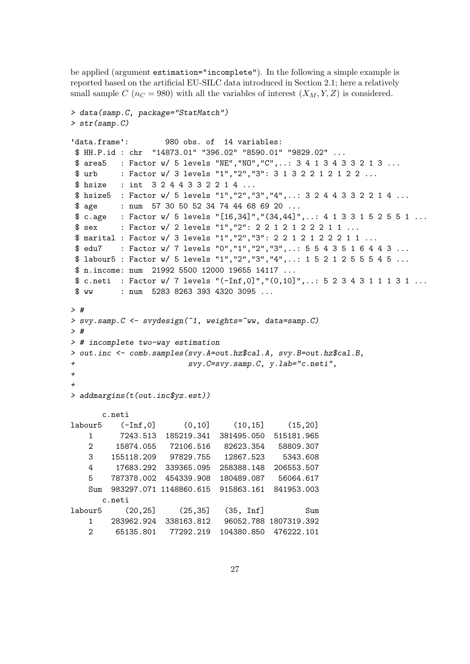be applied (argument estimation="incomplete"). In the following a simple example is reported based on the artificial EU-SILC data introduced in Section 2.1; here a relatively small sample C ( $n<sub>C</sub> = 980$ ) with all the variables of interest  $(X<sub>M</sub>, Y, Z)$  is considered.

```
> data(samp.C, package="StatMatch")
> str(samp.C)
'data.frame': 980 obs. of 14 variables:
$ HH.P.id : chr "14873.01" "396.02" "8590.01" "9829.02" ...
$ area5 : Factor w/ 5 levels "NE","NO","C",..: 3 4 1 3 4 3 3 2 1 3 ...
$ urb : Factor w/ 3 levels "1","2","3": 3 1 3 2 2 1 2 1 2 2 ...
$ hsize : int 3 2 4 4 3 3 2 2 1 4 ...
$ hsize5 : Factor w/ 5 levels "1","2","3","4",..: 3 2 4 4 3 3 2 2 1 4 ...
$ age : num 57 30 50 52 34 74 44 68 69 20 ...
$ c.age : Factor w/ 5 levels "[16,34]","(34,44]",..: 4 1 3 3 1 5 2 5 5 1 ...
$ sex : Factor w/ 2 levels "1", "2": 2 2 1 2 1 2 2 2 1 1 ...
$ marital : Factor w/ 3 levels "1","2","3": 2 2 1 2 1 2 2 2 1 1 ...
$ edu7 : Factor w/ 7 levels "0","1","2","3",..: 5 5 4 3 5 1 6 4 4 3 ...
$ labour5 : Factor w/ 5 levels "1","2","3","4",..: 1 5 2 1 2 5 5 5 4 5 ...
$ n.income: num 21992 5500 12000 19655 14117 ...
$ c.neti : Factor w/ 7 levels "(-Inf,0]","(0,10]",..: 5 2 3 4 3 1 1 1 3 1 ...
$ ww : num 5283 8263 393 4320 3095 ...
> #
> svy.samp.C <- svydesign(~1, weights=~ww, data=samp.C)
> #
> # incomplete two-way estimation
> out.inc <- comb.samples(svy.A=out.hz$cal.A, svy.B=out.hz$cal.B,
+ svy.C=svy.samp.C, y.lab="c.neti",
++> addmargins(t(out.inc$yz.est))
     c.neti
labour5 (-Inf,0] (0,10] (10,15] (15,20]
   1 7243.513 185219.341 381495.050 515181.965
   2 15874.055 72106.516 82623.354 58809.307
   3 155118.209 97829.755 12867.523 5343.608
   4 17683.292 339365.095 258388.148 206553.507
   5 787378.002 454339.908 180489.087 56064.617
   Sum 983297.071 1148860.615 915863.161 841953.003
     c.neti
labour5 (20,25] (25,35] (35, Inf] Sum
   1 283962.924 338163.812 96052.788 1807319.392
   2 65135.801 77292.219 104380.850 476222.101
```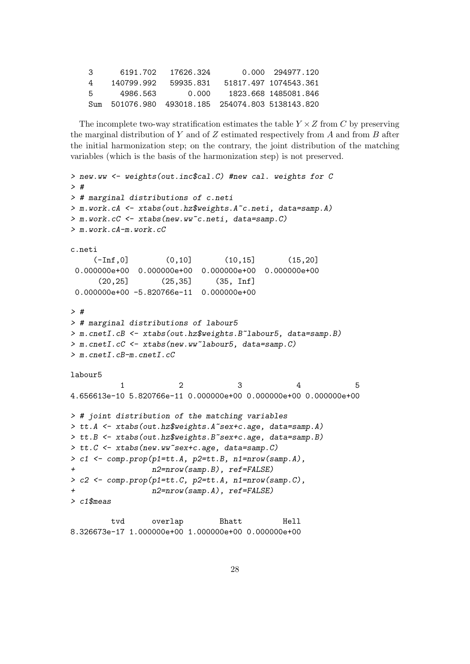| -3                | 6191.702   | 17626.324                                             | 0.000 294977.120      |
|-------------------|------------|-------------------------------------------------------|-----------------------|
| 4                 | 140799.992 | 59935.831                                             | 51817.497 1074543.361 |
| -5.               | 4986.563   | 0.000                                                 | 1823.668 1485081.846  |
| S <sub>11</sub> m |            | 501076.980    493018.185    254074.803    5138143.820 |                       |

The incomplete two-way stratification estimates the table  $Y \times Z$  from C by preserving the marginal distribution of Y and of Z estimated respectively from A and from B after the initial harmonization step; on the contrary, the joint distribution of the matching variables (which is the basis of the harmonization step) is not preserved.

```
> new.ww <- weights(out.inc$cal.C) #new cal. weights for C
> #
> # marginal distributions of c.neti
> m.work.cA <- xtabs(out.hz$weights.A~c.neti, data=samp.A)
> m.work.cC <- xtabs(new.ww~c.neti, data=samp.C)
> m.work.cA-m.work.cC
c.neti
     (-Inf, 0] (0,10] (10,15] (15,20]
0.000000e+00 0.000000e+00 0.000000e+00 0.000000e+00
      (20,25] (25,35] (35, Inf]
0.000000e+00 -5.820766e-11 0.000000e+00
> #
> # marginal distributions of labour5
> m.cnetI.cB <- xtabs(out.hz$weights.B~labour5, data=samp.B)
> m.cnetI.cC <- xtabs(new.ww~labour5, data=samp.C)
> m.cnetI.cB-m.cnetI.cC
labour5
           1 2 3 4 5
4.656613e-10 5.820766e-11 0.000000e+00 0.000000e+00 0.000000e+00
> # joint distribution of the matching variables
> tt.A <- xtabs(out.hz$weights.A~sex+c.age, data=samp.A)
> tt.B <- xtabs(out.hz$weights.B~sex+c.age, data=samp.B)
> tt.C <- xtabs(new.ww~sex+c.age, data=samp.C)
> c1 <- comp.prop(p1=tt.A, p2=tt.B, n1=nrow(samp.A),
+ n2=nrow(samp.B), ref=FALSE)
> c2 \leq \text{comp.} \text{prop}(\text{pl}=\text{tt.c}, \text{p2}=\text{tt.A}, \text{nl}=\text{mrow}(\text{samp.c}),n2=nrow(samp.A), ref=FALSE)
> c1$meas
```
tvd overlap Bhatt Hell 8.326673e-17 1.000000e+00 1.000000e+00 0.000000e+00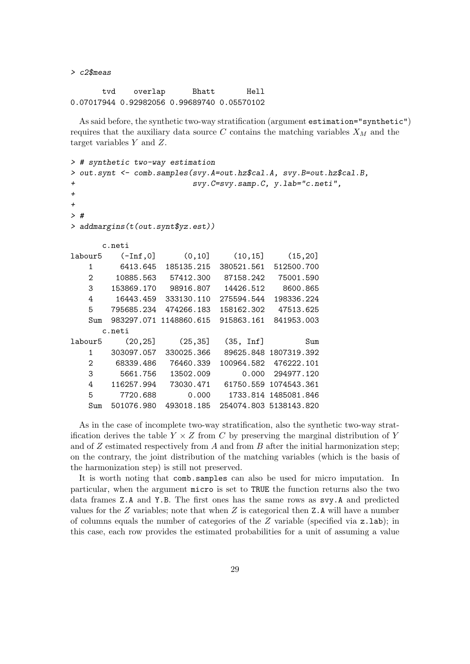> c2\$meas

tvd overlap Bhatt Hell 0.07017944 0.92982056 0.99689740 0.05570102

As said before, the synthetic two-way stratification (argument estimation="synthetic") requires that the auxiliary data source C contains the matching variables  $X_M$  and the target variables Y and Z.

```
> # synthetic two-way estimation
> out.synt <- comb.samples(svy.A=out.hz$cal.A, svy.B=out.hz$cal.B,
+ svy.C=svy.samp.C, y.lab="c.neti",
++> #
> addmargins(t(out.synt$yz.est))
    c.neti
labour5 (-Inf,0] (0,10] (10,15] (15,20]
  1 6413.645 185135.215 380521.561 512500.700
  2 10885.563 57412.300 87158.242 75001.590
  3 153869.170 98916.807 14426.512 8600.865
  4 16443.459 333130.110 275594.544 198336.224
  5 795685.234 474266.183 158162.302 47513.625
  Sum 983297.071 1148860.615 915863.161 841953.003
    c.neti
labour5 (20,25] (25,35] (35, Inf] Sum
  1 303097.057 330025.366 89625.848 1807319.392
  2 68339.486 76460.339 100964.582 476222.101
  3 5661.756 13502.009 0.000 294977.120
  4 116257.994 73030.471 61750.559 1074543.361
  5 7720.688 0.000 1733.814 1485081.846
  Sum 501076.980 493018.185 254074.803 5138143.820
```
As in the case of incomplete two-way stratification, also the synthetic two-way stratification derives the table  $Y \times Z$  from C by preserving the marginal distribution of Y and of  $Z$  estimated respectively from  $A$  and from  $B$  after the initial harmonization step; on the contrary, the joint distribution of the matching variables (which is the basis of the harmonization step) is still not preserved.

It is worth noting that comb.samples can also be used for micro imputation. In particular, when the argument micro is set to TRUE the function returns also the two data frames Z.A and Y.B. The first ones has the same rows as svy.A and predicted values for the  $Z$  variables; note that when  $Z$  is categorical then  $Z.A$  will have a number of columns equals the number of categories of the  $Z$  variable (specified via  $z.\text{lab}$ ); in this case, each row provides the estimated probabilities for a unit of assuming a value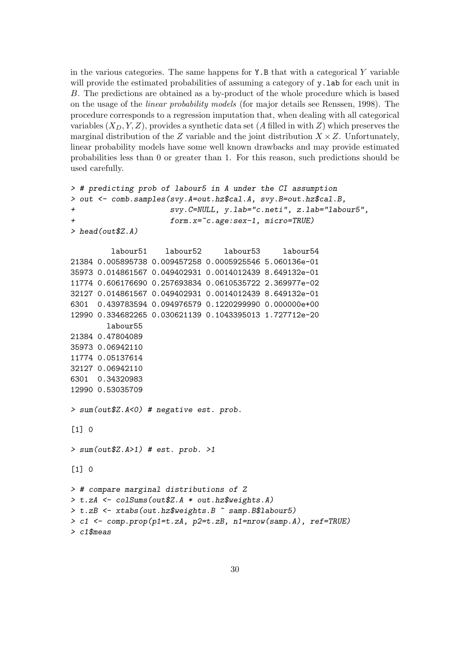in the various categories. The same happens for  $Y.B$  that with a categorical Y variable will provide the estimated probabilities of assuming a category of  $\mathbf{v}$ . Lab for each unit in B. The predictions are obtained as a by-product of the whole procedure which is based on the usage of the linear probability models (for major details see Renssen, 1998). The procedure corresponds to a regression imputation that, when dealing with all categorical variables  $(X_D, Y, Z)$ , provides a synthetic data set (A filled in with Z) which preserves the marginal distribution of the Z variable and the joint distribution  $X \times Z$ . Unfortunately, linear probability models have some well known drawbacks and may provide estimated probabilities less than 0 or greater than 1. For this reason, such predictions should be used carefully.

```
> # predicting prob of labour5 in A under the CI assumption
> out <- comb.samples(svy.A=out.hz$cal.A, svy.B=out.hz$cal.B,
+ svy.C=NULL, y.lab="c.neti", z.lab="labour5",
+ form.x=~c.age:sex-1, micro=TRUE)
> head(out$Z.A)
        labour51 labour52 labour53 labour54
21384 0.005895738 0.009457258 0.0005925546 5.060136e-01
35973 0.014861567 0.049402931 0.0014012439 8.649132e-01
11774 0.606176690 0.257693834 0.0610535722 2.369977e-02
32127 0.014861567 0.049402931 0.0014012439 8.649132e-01
6301 0.439783594 0.094976579 0.1220299990 0.000000e+00
12990 0.334682265 0.030621139 0.1043395013 1.727712e-20
       labour55
21384 0.47804089
35973 0.06942110
11774 0.05137614
32127 0.06942110
6301 0.34320983
12990 0.53035709
> sum(out$Z.A<0) # negative est. prob.
\lceil 1 \rceil 0
> sum(out$Z.A>1) # est. prob. >1
[1] 0
> # compare marginal distributions of Z
> t.zA <- colSums(out$Z.A * out.hz$weights.A)
> t.zB <- xtabs(out.hz$weights.B ~ samp.B$labour5)
> c1 <- comp.prop(p1=t.zA, p2=t.zB, n1=nrow(samp.A), ref=TRUE)
> c1$meas
```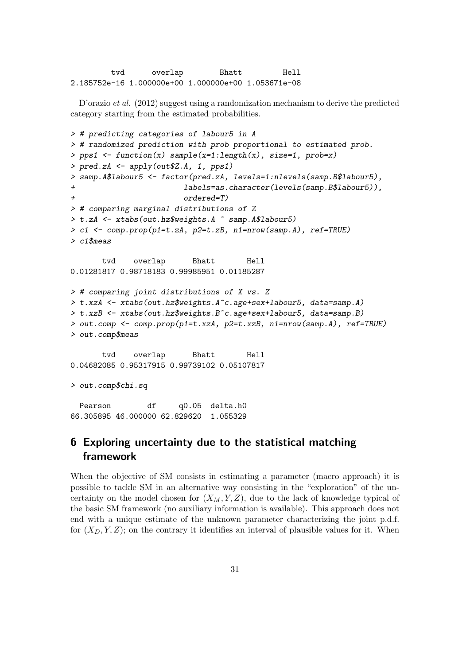tvd overlap Bhatt Hell 2.185752e-16 1.000000e+00 1.000000e+00 1.053671e-08

D'orazio et al. (2012) suggest using a randomization mechanism to derive the predicted category starting from the estimated probabilities.

```
> # predicting categories of labour5 in A
> # randomized prediction with prob proportional to estimated prob.
> pps1 <- function(x) sample(x=1:length(x), size=1, prob=x)
> pred.zA <- apply(out$Z.A, 1, pps1)
> samp.A$labour5 <- factor(pred.zA, levels=1:nlevels(samp.B$labour5),
+ labels=as.character(levels(samp.B$labour5)),
+ ordered=T)
> # comparing marginal distributions of Z
> t.zA <- xtabs(out.hz$weights.A ~ samp.A$labour5)
> c1 <- comp.prop(p1=t.zA, p2=t.zB, n1=nrow(samp.A), ref=TRUE)
> c1$meas
      tvd overlap Bhatt Hell
0.01281817 0.98718183 0.99985951 0.01185287
> # comparing joint distributions of X vs. Z
> t.xzA <- xtabs(out.hz$weights.A~c.age+sex+labour5, data=samp.A)
> t.xzB <- xtabs(out.hz$weights.B~c.age+sex+labour5, data=samp.B)
> out.comp <- comp.prop(p1=t.xzA, p2=t.xzB, n1=nrow(samp.A), ref=TRUE)
> out.comp$meas
      tvd overlap Bhatt Hell
0.04682085 0.95317915 0.99739102 0.05107817
> out.comp$chi.sq
 Pearson df q0.05 delta.h0
66.305895 46.000000 62.829620 1.055329
```
# 6 Exploring uncertainty due to the statistical matching framework

When the objective of SM consists in estimating a parameter (macro approach) it is possible to tackle SM in an alternative way consisting in the "exploration" of the uncertainty on the model chosen for  $(X_M, Y, Z)$ , due to the lack of knowledge typical of the basic SM framework (no auxiliary information is available). This approach does not end with a unique estimate of the unknown parameter characterizing the joint p.d.f. for  $(X_D, Y, Z)$ ; on the contrary it identifies an interval of plausible values for it. When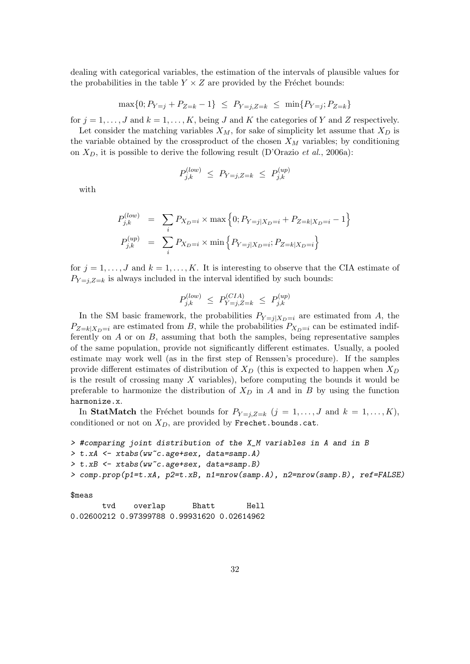dealing with categorical variables, the estimation of the intervals of plausible values for the probabilities in the table  $Y \times Z$  are provided by the Fréchet bounds:

 $\max\{0; P_{Y=i} + P_{Z=k} - 1\} \leq P_{Y=i,Z=k} \leq \min\{P_{Y=i}; P_{Z=k}\}$ 

for  $j = 1, \ldots, J$  and  $k = 1, \ldots, K$ , being J and K the categories of Y and Z respectively.

Let consider the matching variables  $X_M$ , for sake of simplicity let assume that  $X_D$  is the variable obtained by the crossproduct of the chosen  $X_M$  variables; by conditioning on  $X_D$ , it is possible to derive the following result (D'Orazio et al., 2006a):

$$
P_{j,k}^{(low)} \le P_{Y=j,Z=k} \le P_{j,k}^{(up)}
$$

with

$$
P_{j,k}^{(low)} = \sum_{i} P_{X_D=i} \times \max\left\{0; P_{Y=j|X_D=i} + P_{Z=k|X_D=i} - 1\right\}
$$
  

$$
P_{j,k}^{(up)} = \sum_{i} P_{X_D=i} \times \min\left\{P_{Y=j|X_D=i}; P_{Z=k|X_D=i}\right\}
$$

for  $j = 1, \ldots, J$  and  $k = 1, \ldots, K$ . It is interesting to observe that the CIA estimate of  $P_{Y=i,Z=k}$  is always included in the interval identified by such bounds:

$$
P_{j,k}^{(low)} \leq \, P_{Y=j,Z=k}^{(CIA)} \, \leq \, P_{j,k}^{(up)}
$$

In the SM basic framework, the probabilities  $P_{Y=j|X_D=i}$  are estimated from A, the  $P_{Z=k|X_D=i}$  are estimated from B, while the probabilities  $P_{X_D=i}$  can be estimated indifferently on  $A$  or on  $B$ , assuming that both the samples, being representative samples of the same population, provide not significantly different estimates. Usually, a pooled estimate may work well (as in the first step of Renssen's procedure). If the samples provide different estimates of distribution of  $X_D$  (this is expected to happen when  $X_D$ is the result of crossing many X variables), before computing the bounds it would be preferable to harmonize the distribution of  $X_D$  in A and in B by using the function harmonize.x.

In StatMatch the Fréchet bounds for  $P_{Y=j,Z=k}$   $(j = 1, \ldots, J$  and  $k = 1, \ldots, K)$ , conditioned or not on  $X_D$ , are provided by Frechet.bounds.cat.

```
> #comparing joint distribution of the X_M variables in A and in B
> t.xA <- xtabs(ww~c.age+sex, data=samp.A)
> t.xB <- xtabs(ww~c.age+sex, data=samp.B)
> comp.prop(p1=t.xA, p2=t.xB, n1=nrow(samp.A), n2=nrow(samp.B), ref=FALSE)
```
\$meas

tvd overlap Bhatt Hell 0.02600212 0.97399788 0.99931620 0.02614962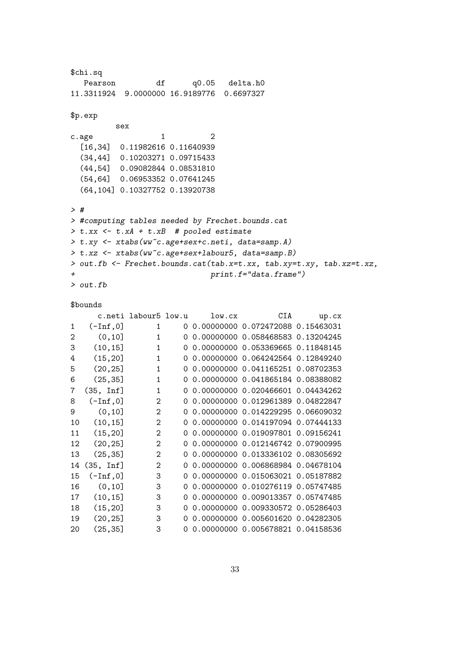```
$chi.sq
  Pearson df q0.05 delta.h0
11.3311924 9.0000000 16.9189776 0.6697327
$p.exp
        sex
c \cdot age 1 2
 [16,34] 0.11982616 0.11640939
 (34,44] 0.10203271 0.09715433
 (44,54] 0.09082844 0.08531810
 (54,64] 0.06953352 0.07641245
 (64,104] 0.10327752 0.13920738
> #
> #computing tables needed by Frechet.bounds.cat
> t.xx <- t.xA + t.xB # pooled estimate
> t.xy <- xtabs(ww~c.age+sex+c.neti, data=samp.A)
> t.xz <- xtabs(ww~c.age+sex+labour5, data=samp.B)
> out.fb <- Frechet.bounds.cat(tab.x=t.xx, tab.xy=t.xy, tab.xz=t.xz,
+ print.f="data.frame")
> out.fb
```
#### \$bounds

|              |                    | c.neti labour5 low.u |          | low(cx | CIA                                 | up.cx |
|--------------|--------------------|----------------------|----------|--------|-------------------------------------|-------|
| $\mathbf{1}$ | $(-Inf, 0]$        | 1                    | 0        |        | 0.00000000 0.072472088 0.15463031   |       |
| 2            | (0, 10]            | $\mathbf{1}$         | 0        |        | 0.00000000 0.058468583 0.13204245   |       |
| 3            | (10, 15]           | $\mathbf{1}$         | $\Omega$ |        | 0.00000000 0.053369665 0.11848145   |       |
| 4            | (15, 20)           | $\mathbf{1}$         | $\Omega$ |        | 0.00000000  0.064242564  0.12849240 |       |
| 5            | (20, 25)           | $\mathbf{1}$         | $\Omega$ |        | 0.00000000  0.041165251  0.08702353 |       |
| 6            | (25, 35)           | $\mathbf{1}$         | $\Omega$ |        | 0.00000000  0.041865184  0.08388082 |       |
| 7            | (35, Inf]          | $\mathbf{1}$         |          |        | 0.00000000  0.020466601  0.04434262 |       |
| 8            | $(-Inf, 0]$        | $\overline{2}$       |          |        | 0.00000000  0.012961389  0.04822847 |       |
| 9            | (0, 10]            | $\overline{2}$       | $\Omega$ |        | 0.00000000 0.014229295 0.06609032   |       |
| 10           | (10, 15]           | $\overline{2}$       | $\Omega$ |        | 0.00000000 0.014197094 0.07444133   |       |
| 11           | (15, 20)           | $\mathcal{D}$        | Ω        |        | 0.00000000  0.019097801  0.09156241 |       |
| 12           | (20, 25)           | $\overline{2}$       |          |        | 0.00000000  0.012146742  0.07900995 |       |
| 13           | (25, 35)           | $\overline{2}$       |          |        | 0.00000000  0.013336102  0.08305692 |       |
| 14           | $(35, \text{Inf}]$ | $\overline{2}$       | 0        |        | 0.00000000  0.006868984  0.04678104 |       |
| 15           | $(-Inf, 0]$        | 3                    | 0        |        | 0.00000000  0.015063021  0.05187882 |       |
| 16           | (0, 10]            | 3                    | Ω        |        | 0.00000000  0.010276119  0.05747485 |       |
| 17           | (10, 15]           | 3                    |          |        | 0.00000000  0.009013357  0.05747485 |       |
| 18           | (15, 20)           | 3                    |          |        | 0.00000000  0.009330572  0.05286403 |       |
| 19           | (20, 25)           | 3                    |          |        | 0.00000000 0.005601620 0.04282305   |       |
| 20           | (25, 35)           | 3                    | $\Omega$ |        | 0.00000000 0.005678821 0.04158536   |       |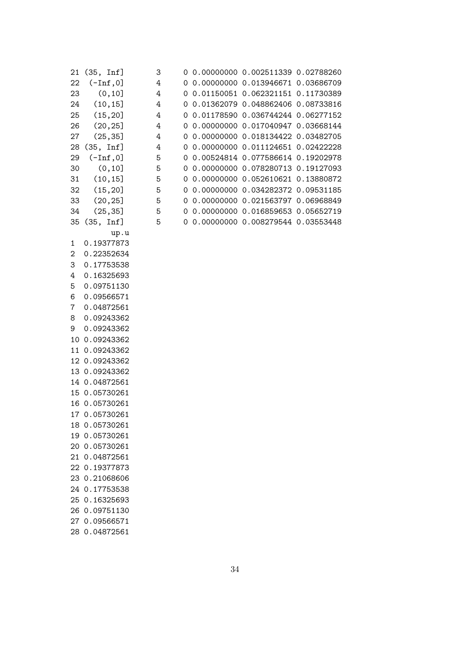|    | 21 (35, Inf]  | 3 |  | 0 0.00000000 0.002511339 0.02788260 |  |
|----|---------------|---|--|-------------------------------------|--|
| 22 | $(-Inf, 0]$   | 4 |  | 0 0.00000000 0.013946671 0.03686709 |  |
| 23 | (0, 10]       | 4 |  | 0 0.01150051 0.062321151 0.11730389 |  |
| 24 | (10, 15]      | 4 |  | 0 0.01362079 0.048862406 0.08733816 |  |
| 25 | (15, 20]      | 4 |  | 0 0.01178590 0.036744244 0.06277152 |  |
| 26 | (20, 25)      | 4 |  | 0 0.00000000 0.017040947 0.03668144 |  |
| 27 | (25, 35)      | 4 |  | 0 0.00000000 0.018134422 0.03482705 |  |
| 28 | (35, Inf]     | 4 |  | 0 0.00000000 0.011124651 0.02422228 |  |
| 29 | $(-Inf, 0]$   | 5 |  | 0 0.00524814 0.077586614 0.19202978 |  |
| 30 | (0, 10]       | 5 |  | 0 0.00000000 0.078280713 0.19127093 |  |
| 31 | (10, 15]      | 5 |  | 0 0.00000000 0.052610621 0.13880872 |  |
| 32 | (15, 20)      | 5 |  | 0 0.00000000 0.034282372 0.09531185 |  |
| 33 | (20, 25)      | 5 |  | 0 0.00000000 0.021563797 0.06968849 |  |
| 34 | (25, 35)      | 5 |  | 0 0.00000000 0.016859653 0.05652719 |  |
|    | 35 (35, Inf]  | 5 |  | 0 0.00000000 0.008279544 0.03553448 |  |
|    | up.u          |   |  |                                     |  |
| 1  | 0.19377873    |   |  |                                     |  |
| 2  | 0.22352634    |   |  |                                     |  |
| 3  | 0.17753538    |   |  |                                     |  |
| 4  | 0.16325693    |   |  |                                     |  |
| 5  | 0.09751130    |   |  |                                     |  |
| 6  | 0.09566571    |   |  |                                     |  |
| 7  | 0.04872561    |   |  |                                     |  |
| 8  | 0.09243362    |   |  |                                     |  |
| 9  | 0.09243362    |   |  |                                     |  |
|    | 10 0.09243362 |   |  |                                     |  |
|    | 11 0.09243362 |   |  |                                     |  |
|    | 12 0.09243362 |   |  |                                     |  |
|    | 13 0.09243362 |   |  |                                     |  |
|    | 14 0.04872561 |   |  |                                     |  |
|    | 15 0.05730261 |   |  |                                     |  |
|    | 16 0.05730261 |   |  |                                     |  |
|    | 17 0.05730261 |   |  |                                     |  |
|    | 18 0.05730261 |   |  |                                     |  |
|    | 19 0.05730261 |   |  |                                     |  |
|    | 20 0.05730261 |   |  |                                     |  |
|    | 21 0.04872561 |   |  |                                     |  |
|    | 22 0.19377873 |   |  |                                     |  |
|    | 23 0.21068606 |   |  |                                     |  |
|    | 24 0.17753538 |   |  |                                     |  |
|    | 25 0.16325693 |   |  |                                     |  |
|    | 26 0.09751130 |   |  |                                     |  |
|    | 27 0.09566571 |   |  |                                     |  |

28 0.04872561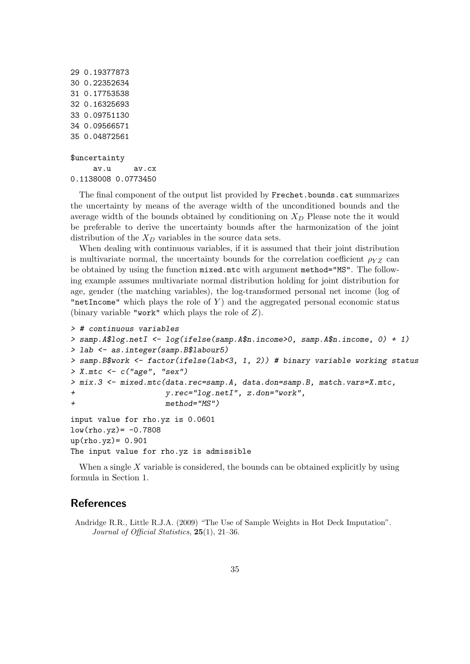```
29 0.19377873
30 0.22352634
31 0.17753538
32 0.16325693
33 0.09751130
34 0.09566571
35 0.04872561
$uncertainty
```
av.u av.cx 0.1138008 0.0773450

The final component of the output list provided by Frechet.bounds.cat summarizes the uncertainty by means of the average width of the unconditioned bounds and the average width of the bounds obtained by conditioning on  $X_D$  Please note the it would be preferable to derive the uncertainty bounds after the harmonization of the joint distribution of the  $X_D$  variables in the source data sets.

When dealing with continuous variables, if it is assumed that their joint distribution is multivariate normal, the uncertainty bounds for the correlation coefficient  $\rho_{YZ}$  can be obtained by using the function mixed.mtc with argument method="MS". The following example assumes multivariate normal distribution holding for joint distribution for age, gender (the matching variables), the log-transformed personal net income (log of "netIncome" which plays the role of  $Y$ ) and the aggregated personal economic status (binary variable "work" which plays the role of  $Z$ ).

```
> # continuous variables
> samp.A$log.netI <- log(ifelse(samp.A$n.income>0, samp.A$n.income, 0) + 1)
> lab <- as.integer(samp.B$labour5)
> samp.B$work <- factor(ifelse(lab<3, 1, 2)) # binary variable working status
> X.mtc \leq c("age", "sex")
> mix.3 <- mixed.mtc(data.rec=samp.A, data.don=samp.B, match.vars=X.mtc,
+ y.rec="log.netI", z.don="work",
+ method="MS")
input value for rho.yz is 0.0601
low(rho.yz) = -0.7808up(rho.yz)= 0.901The input value for rho.yz is admissible
```
When a single  $X$  variable is considered, the bounds can be obtained explicitly by using formula in Section 1.

# **References**

Andridge R.R., Little R.J.A. (2009) "The Use of Sample Weights in Hot Deck Imputation". Journal of Official Statistics, 25(1), 21–36.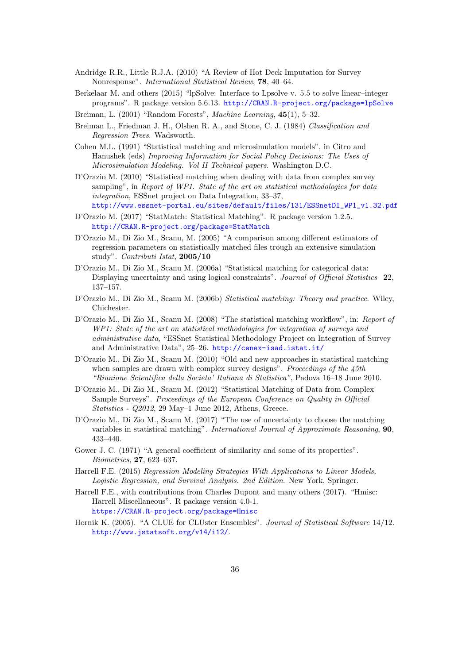- Andridge R.R., Little R.J.A. (2010) "A Review of Hot Deck Imputation for Survey Nonresponse". International Statistical Review, 78, 40–64.
- Berkelaar M. and others (2015) "lpSolve: Interface to Lpsolve v. 5.5 to solve linear–integer programs". R package version 5.6.13. <http://CRAN.R-project.org/package=lpSolve>
- Breiman, L. (2001) "Random Forests", Machine Learning, 45(1), 5-32.
- Breiman L., Friedman J. H., Olshen R. A., and Stone, C. J. (1984) Classification and Regression Trees. Wadsworth.
- Cohen M.L. (1991) "Statistical matching and microsimulation models", in Citro and Hanushek (eds) Improving Information for Social Policy Decisions: The Uses of Microsimulation Modeling. Vol II Technical papers. Washington D.C.
- D'Orazio M. (2010) "Statistical matching when dealing with data from complex survey sampling", in Report of WP1. State of the art on statistical methodologies for data integration, ESSnet project on Data Integration, 33–37, [http://www.essnet-portal.eu/sites/default/files/131/ESSnetDI\\_WP1\\_v1.32.pdf](http://www.essnet-portal.eu/sites/default/files/131/ESSnetDI_WP1_v1.32.pdf)
- D'Orazio M. (2017) "StatMatch: Statistical Matching". R package version 1.2.5. <http://CRAN.R-project.org/package=StatMatch>
- D'Orazio M., Di Zio M., Scanu, M. (2005) "A comparison among different estimators of regression parameters on statistically matched files trough an extensive simulation study". Contributi Istat, 2005/10
- D'Orazio M., Di Zio M., Scanu M. (2006a) "Statistical matching for categorical data: Displaying uncertainty and using logical constraints". Journal of Official Statistics 22, 137–157.
- D'Orazio M., Di Zio M., Scanu M. (2006b) Statistical matching: Theory and practice. Wiley, Chichester.
- D'Orazio M., Di Zio M., Scanu M. (2008) "The statistical matching workflow", in: Report of WP1: State of the art on statistical methodologies for integration of surveys and administrative data, "ESSnet Statistical Methodology Project on Integration of Survey and Administrative Data", 25–26. <http://cenex-isad.istat.it/>
- D'Orazio M., Di Zio M., Scanu M. (2010) "Old and new approaches in statistical matching when samples are drawn with complex survey designs". Proceedings of the 45th "Riunione Scientifica della Societa' Italiana di Statistica", Padova 16–18 June 2010.
- D'Orazio M., Di Zio M., Scanu M. (2012) "Statistical Matching of Data from Complex Sample Surveys". Proceedings of the European Conference on Quality in Official Statistics - Q2012, 29 May–1 June 2012, Athens, Greece.
- D'Orazio M., Di Zio M., Scanu M. (2017) "The use of uncertainty to choose the matching variables in statistical matching". International Journal of Approximate Reasoning, 90, 433–440.
- Gower J. C. (1971) "A general coefficient of similarity and some of its properties". Biometrics, 27, 623–637.
- Harrell F.E. (2015) Regression Modeling Strategies With Applications to Linear Models, Logistic Regression, and Survival Analysis. 2nd Edition. New York, Springer.
- Harrell F.E., with contributions from Charles Dupont and many others (2017). "Hmisc: Harrell Miscellaneous". R package version 4.0-1. <https://CRAN.R-project.org/package=Hmisc>
- Hornik K. (2005). "A CLUE for CLUster Ensembles". Journal of Statistical Software 14/12. [http://www.jstatsoft.org/v14/i12/]( http://www.jstatsoft.org/v14/i12/).